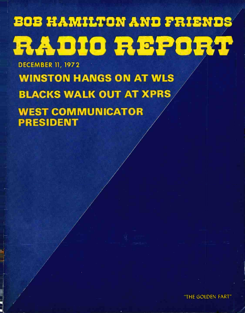# BOB HAMILTON AND FRIENDS RADIO REPORT

DECEMBER 11, 1972 WINSTON HANGS ON AT WLS BLACKS WALK OUT AT XPRS WEST COMMUNICATOR PRESIDENT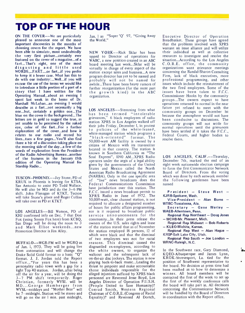# TOP OF THE HOUR

ON THE COVER--We are particularly pleased to announce one of the most important discoveries in the months of choosing covers for the report. We have been able to simulate, most undoubtedly the very first picture...certainly ever featured on the cover of a magazine...of a fart...That's right, one of the most disgusting and little used WORDS....FART....or fart...if you prefer to keep it a lower case. What has this to do with our industry:...Well...if you will excuse the use of the terms we would like<br>to introduce a little portion of a part of a to introduce a little portion of a part of a studier reorganization (for the most part story that I have written for the the growth kind) in the ABC Operating Manual...about an evening I spent last week in the home of Dr. Marshall McLuhan...an evening I would describe as a fart...not necessarily a big one...but, certainly a golden one...The blue on the cover is the background...The letters are in gold to suggest the true, as yet unable to be perceived by the naked eye, color of the fart...For a further explanation of the cover...and how it relates to our radio and record biz lives...turn a few pages...You'll also find<br>there a bit of a discussion taking place on the morning side of the day...a few of the words of explanation from the President of the Radio Advertising Bureau...another of the features in the January 15th edition of the Operating Manual for Starship Radio...

KRUX in Phoenix is leaving for KTSA, San Antonio to assist PD Todd Wallace. He will also be  $MD$  and do the  $3-6$  PM shift. John Flanagan of KTKT, Tucson will take Stone's place and Roger Collins will take over as PD at KTKT.

KHJ confirmed info on Dec. 7 that Don service announcements for the Fox (using Sonny Fox here) from KCBQ, community...ln their press release the Fox (using Sonny Fox here) from KCBQ, San Diego will be doing the noon to 3 and Mark Elliot weekends...new Promotion Director is Jim Alley.

BUFFALO-- WGR -FM will be WGRQ as of Jan. 1, 1973. They will be going live from automation and will change the Drake Solid Gold format to a basic "Q" walkout and the subsequent lack of format. J. J. Jordan told the Report on-the-air disc jockeys. The station is now office... "For years this has been a personality radio town with a gap for a tight Top 40 station. Jordan, after being off the air for a year, will be doing the <sup>3</sup>-7 PM shift temporarily. Roger Christian, formerly WYSI. will be MD...George Hamberger from WYSL-middays and "Mother Bear" will be 7-midnight. Station will be stereo and will go on the air I min. past midnight,

Jan. 1 as "Super 'Q' 97, "Giving Away the World."

upped to Director of operations for resources to investigate and resolve the WABC, a new position created in an ABC situation...According to the Los Angeles WABC, a new position created in an ABC board meeting last week...Sklar will be virtually in charge of every aspect of the station except sales and business...A new program director has yet to be named and probably will not be named for awhile...There have been heavy rumors of the growth kind) in the ABC organization.

TUSCON-PHOENIX--Jay Stone, PD of (NARBA). Only in the one specific area LOS ANGELES--Bill Watson, PD of nor is it required to broadcast public has been termed "intolerable grievances," 6 black employees of radio station XPRS in Los Angeles walked off their jobs Friday, December 1, in protest to policies of the white -leased, white-managed station which programs a "black-oriented" format. The 50,000-watt AM facility is owned by a citizen of Mexico with its transmitter located in that country. The station is known in Southern California as "The Soul Express", 1090 AM...XPRS Radio operates under the aegis of a legal ability given by the governments of the United States and Mexico called the North American Radio Broadcasting Agreement of "live" news broadcasts does the Federal Communications Commission have jurisdiction over this station. The F.C.C. issued a news broadcast permit to XPRS Radio in June of 1972. The 50,000 -watt, clear channel station, is not required to allocate a designated number<br>of hours for public affairs programming, service announcements for the owners of the U.S. sales rights and lease of the station stated that as of November the station employed 18 persons, 12 of which were black and that the dismissal of two employees was not for racial reasons. This dismissal caused the disgruntled ex-employees, according to the white owners, to organize the walkout and the subsequent lack of playing back-to-back music...Leading the thrust to pinpoint and make accountable the board. No decision at press time had<br>those individuals responsible for the the peen reached as to how to determine a those individuals responsible for the alleged injustices suffered by XPRS black personnel are Reverend Jesse Boyd, Los Angeles Director of Operation P.U.S.H. (People United to Save Humanity)? Conrad Smith, Western Regional Chairman of C.O.R.E. (Congress of Racial Equality)? and Reverend Al Dortch,

NEW YORK--Rick Sklar has been their individual as well as collective LOS ANGELES--Stemming from what future yet refused to meet with the Executive Director of Operation Breadbasket. These groups have agreed that the problems involved with XPRS warrant an issue alliance and will utilize resources to investigate and resolve the C.O.R.E. office, the community organizations want grievance meetings concerning the Randal-Sharon Consulting Firm, lack of black executives, more professional programming, and other issues which include the reinstatement of the two fired employees. Some of the issues have been taken to F.C.C. Commissioner Hooks by the community groups...The owners expect to have operations returned to normal in the near community groups on December 1st because the atmosphere would not have been conducive to discussions. The community groups will not settle for normal operations until the grievances have been settled if it takes the F.C.C., Federal Courts, and higher bodies to resolve them.

> LOS ANGELES, CALIF.--Thursday, December 7th, marked the end of an eight week nationwide election campaign to form the first Communicator Network Board of Directors. From the voting which was done by each network member the following gentlemen have been named

 $P$ resident - Steve West -KJRB-Spokane, Wash.

 $Vice-President$  - Alan Burns -WTBC-Tuscaloosa, Ala.

 $Sercretary - Gene Werley -$ WAEB-Allentown, Penn.

Regional Rep Northeast - Doug Jones - WCHB-Mr. Pleasant, Mich.

Regional Rep Midwest - Bob Roberts - KLEO-Wichita, Kansas.

Regional Rep West  $-$  Alan Hague  $-$ KRSP-Salt Lake City, Utah.

Regional Rep South  $-$  Joe London  $-$ WRNC-Raleigh, N.C.

In the Southwest race, Gary Diamond, KQEO- Albuquerque and James Lynn, KROK -Shrevesport, La. tied for the position of Southwest representative to the board. No decision at press time had winner. All board members will be contacted the first of the week to set up the first of the weekly conference calls the board will take part in. All decisions concerning the Communicator Network will be handled by the Board of Directors in coordination with the Report office.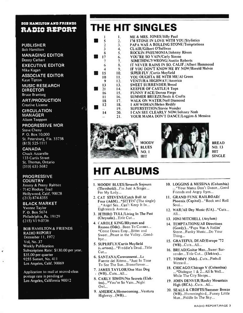# BOB HAMILTON AND FRIENDS RAMO REPORT

### PUBLISHER Bob Hamilton

MANAGING EDITOR Denny Carhart EXECUTIVE EDITOR Mike Kagan ASSOCIATE EDITOR Kaye Tipton

MUSIC RESEARCH **DIRECTOR** Bruce Brantseg

ART /PRODUCTION Creative License

**CIRCULATION** MANAGER Alison Toeppen

# PROGRESSIVE MOR

Steve Cheny P. O. Box 10,000 St. Petersburg, Fla. 33738 (813) 525 -1111

# CANADA

Chuck Azzarello 133 Curtis Street St. Thomas, Ontario (519) 631 -5682

# PROGRESSIVE **COUNTRY**

Jimmy & Penny Rabbitt 7142 Hockey Trail Hollywood, Calif. 90028 (213) 874-8355

# BLACK MARKET

Yvonne Taylor P.O. Box 5674 Philadelphia, Pa. 19129 (215) VI 9-0736

 $\vec{q}$ 

# BOB HAMILTON & FRIENDS

RADIO REPORT December 11, 1972 Vol, No. 37 Weekly Publication Subscription Rate: \$130.00 per year. \$35.00 per quarter 9255 Sunset, No. 411 Los Angeles, Calif. 90069

Application to mail at second -class postage rate is pending at Los Angeles, California 90012

# THE HIT SINGLES

|               |            | ME & MRS. JONES/Billy Paul                  |
|---------------|------------|---------------------------------------------|
|               | 2.         | I'M STONE IN LOVE WITH YOU/Stylistics       |
|               | 3.         | PAPA WAS A ROLLING STONE/Temptations        |
| $\frac{2}{3}$ | 4.         | <b>CLAIR/Gilbert O'Sullivan</b>             |
| 8             | 5.         | <b>ROCKIN PNEUMONIA/Johnny Rivers</b>       |
| 17            | 6.         | YOU'RE SO VAIN/Carly Simon                  |
|               | 7.         | SOMETHING'S WRONG/Austin Roberts            |
| 6             | 8.         | IT NEVER RAINS IN SO. CALIF./Albert Hammond |
|               | 9.         | IF YOU DON'T KNOW ME BY NOW/Harold Melvin   |
| 15            | 10.        | <b>SUPER FLY / Curtis Mayfield</b>          |
| 10            | 11.        | YOU OUGHTA BE WITH ME/Al Green              |
| 9             | 12.        | VENTURA HIGHWAY/America                     |
| 13            | 13.        | <b>SWEET SURRENDER/Bread</b>                |
| 21            | 14.        | <b>KEEPER OF CASTLE/4 Tops</b>              |
| 16            | 15.        | FUNNY FACE/Donna Fargo                      |
| 11            | 16.        | <b>SUMMER BREEZE/Seals &amp; Crofts</b>     |
| 18            | 17.        | <b>WALK ON WATER/Neil Diamond</b>           |
| 12            | 18.        | I AM 'WOMAN/Helen Reddy                     |
|               | 19.        | <b>SUPERSTITION/Stevie Wonder</b>           |
| 14            | <b>20.</b> | I CAN SEE CLEARLY NOW/Johnny Nash           |
|               | 21.        | YOUR MAMA DON'T DANCE/Loggins & Messina     |
|               |            |                                             |



MOODY BLUES NO. 1 HIT



BREAD NO. 13 HIT SINGLE

# **HIT ALBUMS**

- 1. MOODY BLUES /Seventh Sojourn (Threshold)...I'm Just A Singer... For My Lady...
- 2. CAT STEVENS /Catch Bull At Four (A&M)... \*SITTIN' (The single) ..\* Angel Sea...Can't Keep It In... Eighteenth Avenue...
- 3. JETHRO TULL /Living In The Past (Chrysalis)...Title Cut...
- 4. CAROLE KING/Rhymes and Reason (Ode)...Been To Canaan... \*Come Down Easy...Bitter and Sweet...Peace in the Valley...Goodbye...
- 5. SUPERFLY /Curtis Mayfield (Lurtom)... \*Freddie's Dead...Title Cut...
- 6. SANTANA /Caravanserai...La Fuente del Ritmo... \*Just In Time To See The Sun...Stoneflower...
- 7. JAMES TAYLOR /One Man Dog (WB)...Cuts...All...
- 8. CARLY SIMON/No Secrets (Elektra)... \*You're So Vain...Night Owl...
- 9. AMERICA/Homecoming...Ventura Highway...(WB)...
- 10. LOGGINS & MESSINA (Columbia) ... \*Your Mama Don't Dance...Good Friends and Angry Eyes...
- 11. GRAND FUNK RAILROAD/ Phoenix (Capitol)... \*Rock and Roll Soul...
- 12. WAR/All Day Music (UA)...\*Cuts... All...
- 13. JONI MITCHELL (Asylum)
- 14. TEMPTATIONS/All Directions (Gordy)... \*Papa Was A Rollin' Stone...Funky Music...Do Your Thing...
- 15. GRATEFUL DEAD/Europe '72 (WB)...Cuts...A11...
- 16. BREAD/Guitar Man...Sweet Surrender...Title Cut... (Elektra)...
- 17. TOMMY (Ode)...Cuts...Pinball Wizzard...
- 18. CHICAGO /Chicago V (Columbia) ...\*Dialogue 1 & 2...All Is Well... While The City Sleeps...
- 19. JOHN DENVER /Rocky Mountain High (RCA)...Cuts...All...
- 20. SEALS & CROFTS /Summer Breeze (WB)...Hummingbird...Funny Little Man...Fiddle In The Sky...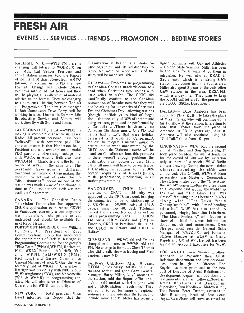# FRESH AIR EVENTS ... SERVICES ... TRENDS ... PROMOTION ... BEDTIME STORIES

changing call letters to WQDR -FM on Jan. 4th. Carl Venors, President and acting station manager, told the Report office that J. Michael Stone, from WMYQ<br>(Miami) is coming in to PD the new  $\lim_{x \to a}$  Change will include 2-track synthesis into quad, 24 hours and they will be playing all available quad material relative to the format. They are changing to album cuts  $\cdot$  hitting between Top 40 and Progressive. Fhe new sales manager is Bob Jones...and Dave Berry will be working in sales. Licensee is Durham Life Broadcasting Service and Venors will work directly with Stone and Jones.

JACKSONVILLE, FLA. -- WPDQ is Canadian Christmas music. One PD told making a complete change to All Black us he had 3 LP's that were holiday making a complete change to All Black Radio. All present personnel have been o<br>"relieved''! with severence pay. The re apparent reason is that Henderson Belk, President and sole owner plans to make PDQ part of a advertising package buy<br>with WAOK in Atlanta. Belk also owns WRNA-FM in Charlotte and is the formel owner of WIST in the same city. The personnel have gone in different directions with some of them making the decision to get out of radio due to "disillusionment." Seems no one at the station was made aware of the change in time to find another job. Belk was not available for comment.

Television Commission has approved CHUM's application to purchase CKVN in Vancouver, currently a contemporary station...details on changes are as yet future programming plans undecided but should be available for next Report issue...

PORTSMOUTH-NORFOLK -- William F. Rust, Jr., President of Rust Communications Group has announced<br>the appointments of Jack M. Rattigan as Programming Coordinator for the group's "Blue Team" (WHAM/WHFM, Rochester, F N.Y.; WKLX, Portsmouth -Norfolk, Va.; and WRNL -(AM /WRLX -(FM), Richmond) and Harvey Guenther as General Manager of WKLX. Guenther was formerly GM of WKAZ in Charlestown. Rattigan was previously with NBC Group W, Westinghouse (KYW), and Metromedia (WIP & WMMR) in programming and sales. He will also serve as Director of Operations for WRNL temporarily.

NEW YORK -- RAB president Miles David informed the Report that the

RALEIGH, N. C.--WPTF-FM here is Organization is beginning a study on Organization is beginning a study on signed contracts with Oakland Athletics psychographics and its relationship to  $-$  Golden State Warriors. Miller has been radio. No word on when results of the study will be made available.

> OTTAWA-- Problems in programming to Canadian Content standards come to a head when Christmas time comes with little relief in sight. The CRTC did unofficially confirm to the Canadian Association of Broadcasters that they will not be asking for air checks of Christmas Eve and Christmas Day...allowing stations (though unofficially) to kind of forget about the necessity of 30% of their music being written, produced or performed by <sup>a</sup>Canadian....There is virtually no Canadian Christmas music. One PD told oriented and qualified Canadian...A request to relegate Canadian music to neutral status went unanswered by the CRTC...so little Christmas music will be heard on Canadian stations this year...As if there weren't enough problems the qualifications get tougher January 15th. 5% of all music will have to be written by a Canadian, in addition to the 30% content requiring 2 of 4 areas (lyrics, music, performance, production) in all station programming.

approved by the CRTC last week bringing<br>CANADA -- The Canadian Radio the companies number of stations up to VANCOUVER-- CHUM Limited's purchase of CKVN in this city was the companies number of stations up to 6. CKVN is 50,000 watts at 1410, programming top 40. Jack Titolman owned the station. No word as yet on future programming plans CHUM Ltd owns CHUM (AM) and (FM) in Toronto, CKOT in Peterborough, CFRA and CFGO in Ottawa and CJCH in Halifax.

> CLEVELAND-- WKYC AM and FM has changed call letters to WWWE AM and FM. No change in format... Cleve Thomas who did a talk show is leaving and Fred Sanders is now MD.

SALINAS, CALIF. -- After 18 years, ha KTOM (previously MOR) here has changed format and gone C&W. General post of Director of Artist Relations and Manager, Harry Miller, 3-1/2 months at the station, told the Report office that, "it's an odd market with 4 major towns<br>and an MOR station in each one." They are going to go for more of regional audience and individualize the format to include more sports. Miller has recently

- Golden State Warriors. Miller has been in the area for 8 years...4 of them in television. He was also at KRAK in Sacramento which is a strong C&W station that comes into the Salinas area. Miller also spent 3 years at the only other C&W station in the area, KRSA-FM, which is a daytimer. They plan to keep the KTOM call letters for the present and are 5,000: 1380kc. Directional.

DALLAS-- Dave Ambrose has been appointed PD at KLIF. He takes the place of Mike O'Shea, who will continue doing his 1-3 show at the station. Interesting to note that O'Shea took the place of Ambrose as PD 2 years ago, August. Ambrose will also continue doing his "Girl Talk" show from 10 -lpm.

CINCINNATI-- WLW Radio's second annual "Father and Son Sports Night" took place on Mon. the 4th. Attendance for the crowd of 300 was by invitation only as part of a special WLW Radio contest drawing. During the event, ticket winners attending the affair were announced. Jim O'Neill, WLW's 6 -l0am personality, was Master of Ceremonies. The station is also doing the "Give Away" the World" contest...ultimate prize being an all-expense paid around the world trip for two...and "The Glory That Was Grease" featuring trends between '53–'63<br>along with "The Trivia World Championships" with "mind-bending minutiae." WLW has also added to personnel, bringing back Jim LaBarbara. "The Music Professor," who features a show of behind-the-scenes information about records and entertainers. Dean Phelps, most recently General Sales Manager of WWEZ -FM, and formerly Station Manager at WLAV' in Grand Rapids and GM of W-4, Detroit, has been appointed Account Executive for WLW.

LOS ANGELES-- Warner Brothers Records has expanded their Artists Relations department and new personnel have been brought in. Director, Bob Regehr has been promoted to the new Development...department additions and realignments are as follows...Southern Artist Relations and Development Supervisor, Ron Needham...Mid -West rep, Tom Parent...Peter Turner, assistant to Alan Rosenberg, head of East Coast Dept...Russ Shaw will serve as travelling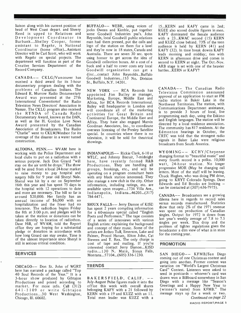liaison along with his current position of head of West Coast depart. and Sheery Reed is upped to Relations and Development Coordinator in Burbank...Shelley Cooper, former assistant to Regehr, is National Coordinator (home office)...Assistant Director will be Carl Scott, who will work with Regehr on special projects. The department will function as part of the Creative Services Department of the Record Company.

received a third award for its 5 -hour documentary program dealing with the problems of Canadian Indians. The Edward R. Murrow Radio Documentary Award was presented at the 27th  $\overline{M}$ International Conventionof the Radio A Television News Directors' Association in Nassau. The CKLG program also received will coordinate all of the marketing the RTNDA of Canada Radio Documentary Award, known as the DAN, as well as the H. Gordon Love News Award presented by the Canadian Association of Broadcasters. The Radio "Charlie" went to CKLW/Windsor for its coverage of the disaster in a water tunnel construction.

ALTOONA, PENN. -- WVAM here is working with the Police Department and local clubs to put on a radiothon with a serious purpose. Jack Don Girard "will stay on the air until he drops." The show P: will be aired from a local 24-hour market to raise money to pay hospital and surgery bills for 9 year old Sheryl Nale. Sherul was hit by a car on September also manage a new club in the city. Other 16th this year and has spent 75 days in information, including ratings, etc. are 16th this year and has spent 75 days in the hospital with 12 operations to date and more are necessary. The bill so far is around \$20,000. Her family has an annual income of \$6,000 with no hospitalization and the friver had no insurance. The radiothon begins Friday the 8th at 3:00 p.m. and pledges will be taken at the station or donations can be taken directly to location of radiothon. Dave Hill, of WVAM, told the Report office they are hoping for a substantial pledge or donation in accordance with are how long Girard can stay awake. Time is of the ulmost importance since Sheryl is still in serious critical condition.

# SERVICES

CHICAGO-- Don St. John of WGRT here has narrated a package called "Top 40 Soul Records of the Year." It is a 3 -hour show produced by Gibtajon Productions and priced according to market. For more info. Call (312) <sup>64</sup>1 - 1 109 or write Gibtajon Productions...30 West Washington, Chicago, Ill. 60602.

disc...contact John Reynolds...Buffalo<br>CANADA -- CKLG/Vancouver has Goodwill Industries...153 No Division BUFFALO-- WEBR, using voices of jocks Owens and Kimble, put together some Goodwill Industries psa's. John Reynolds, local Goodwill public relations man had them pressed, put the calls and logo of the station on them for a lavel and they're now in 18 states, Canada and Australia. There are seven 30 sec. spots using homor to get across the idea of Goodwill collection boxes. At a cost of a buck and a half to cover costs any local Goodwill organization can get a Goodwill Industries...153 No. Division St., Buffalo, N.Y. 14201.

> NEW YORK -- RCA Records has appointed Jim Bailey as manager, Marketing, Europe, Middle East and  $\frac{dp}{d\theta}$ Africa, for RCA Records International.  $\frac{1}{N}$ Bailey will headquarter in London and activities for Great Britain and Continental Europe, the Middle East and Africa. They have also engaged Marvin Goodman Associates, Inc., to coordinate overseas licensing of the Presley Satellite special. In countries where there is no television, it will be sold for theatrical showings.

INDIANAPOLIS-- Rickie Clark, 6-10 at WTLC, and Johnny Biscuit, 7-midnight here, have recently formed R&B Productions. They are handling all W groups, bookings, etc., and will be p operating on a program consultant basis with any black station interested. They also manage a new club in the city. Other available upon reugest...1734 Villa Ave., Indianapolis, Indiana...46203...(317)  $784 - 4471$ .

SIOUX FALLS-- Jerry Damon of KISD has spent 2 years compiling information for a 60-minute special called "English" Poets and Performers." The tape consists of a series of interviews with various English artists: explaining the background and concept of their music. Some of the artists are Jethro Tull, Emerson, Lake and Palmer, Procol Harum, Elton John, Cat Stevens and T. Rex. The only charge is cost of tape and mailing. If you're interested contact Jerry Damon...KISD radio...130 N. Main, Sioux Falls, Montana...57104...(605) 336 -1230.

# TRENDS

July- August Pulse figures made it into the office this week with overall shares belonging KAFY with a 21 followed by KERN with a 19 and KUZZ with an 11. Total men leader was KUZZ with a

I5...KERN and KAFY came in 2nd; KGEE also scored double figures in men. KAFY dominated the female audience with a 23...KWAC second (15) KERN and KUZZ close behind. 73% of the teen audience is held by KERN (41) and KAFY (32). In time break downs KAFY leads morning and midday; ties with KERN in afternoon drive and comes in second to KERN at night. The Oct.-Nov. ARB stage is set with one of the heavier battles...KERN or KAFY?

CANADA-- The Canadian Radio Television Commission announced approval of an application to start an FM radio station in Baker Lake in the Northwest Territories. The station, with Communications Department assistance, is to provide 3 hours of local, live programming each day, using the Eskimo and English languages. The station will be directed by a local residence association. The community has 817 residents. At the Edmonton hearings in October, the CRTC was told that the strongest radio signals in Baker Lake were religious broadcasts from South America.

 $WYOMING --- KCHY/Cheyenne$ changing format to "beautiful music" and every fourth record is a polka. 10,000 watt, 24 -hour station. No longer progressive MOR (May be changing call letters. Most of the staff will be leaving. Chuck Hughes, who was doing PM drive, going to KRYT Colorado Springs. Dave Edwards and Ed Brooks are looking can be contacted at (307) 636-7975).

CANADA-- Broadcasters see a growing dilema here in regards to record sales versus records manufactured. Statistics show that only 2% of the 1971 revenue was spent on production of Canadian singles. Output for 1972 is down from last year's weekly average of 7.8 to 7.5 singles per week. This drop and the problem of tighter regulations gives the broadcaster a dim view of what is in store for the coming year.

# PROMOTION

BAKERSFIELD, CALIF. -- drawn won a Billboard somewhere in San SAN DIEGO-- KFMB/San Diego coming out of one Christmas contest and going into another. Former contest was variation on "World's Largest Christmas Card" Contest. Listeners were asked to send in postcards  $-$  whoever's card was Diego with a message like "Season's Greetings and a Happy New Year to (winner's name) from KFMB." The message stays up for a week or two. Continued on page 22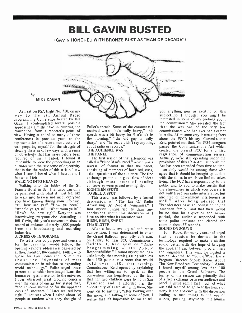

BILL GAVIN BUSTED

(GAVIN HONORED WITH BRONZE BUST AS "MAN OF DECADE ")

As I sat on PSA flight No. 710, on my way to the 7th Annual Radio Programming Conference hosted by Bill Gavin, I contemplated several possible approaches I might take in covering the convention from a reporter's point of view. Having attended so many of these conferences in previous years as the representative of a record manufacturer, I was preparing myself for the struggle of viewing these next few days with a sense of objectivity that has never before been required of me. I failed. I found it impossible to view the proceedings as an outsider with the true sense of objectivity that is due the reader of this article. I saw what I saw. I heard what I heard, and I felt what I felt.

### WALKING INTO HEAVEN

by

Walking into the lobby of the St. Francis Hotel in San Francisco can only be paralleled with what it must feel like to walk into heaven and meet everyone you have known during your life-time. di "Hi, how are ya?" "How ya been?" Ao "When'd ya get in?" "What room ya in?" fir "How's the new gig?" Everyone was interviewing everyone else. According to Bill Gavin, this year's convention drew a record attendance of nearly 1,000 people from the broadcasting and recording industries.

# A CRISIS OF IGNORANCE

for the days that would follow, the Carlotte T. Reid speak on "Radio opening keynote address was delivered by  $P \circ g \circ n$  in  $g - I$  is Public opening keynote address was delivered by  $P \r o g r a m m i n g - I t s - P u b l i c$  author/inventor, Buckminster Fuller, who Responsibilities." I found myself feeling a author/inventor, Buckminster Fuller, who spoke for two hours and 15 minutes about the "dynamics of mass communication in relation to expanding world technology." Fuller urged those present to consider how insignificant the human being is in relation to the universe. Fuller observed great growing concern over the crisis of energy but stated that, "the concern should be for the apparent crisis of ignorance." I later realized how went on to say that, "after looking over right Fuller was when I asked about 35 people at random what they thought of

Fuller's speech. Some of the comments I received were: "he's really heavy," "his speech was a bit heavy for 9 o'clock in the morning." "the old guy is really sharp," and "he really didn't say anything. Rei about radio or records.' THE AUDIENCE WAS

THE PANEL<br>The first session of that afternoon was called a "Blind Man's Panel," which was a reversal of format in that the panel, consisting of members of both industries, asked questions of the audience. The free exchange prompted a good flow of ideas although most issues of pending controversy were passed over lightly. EIGHTEEN SPOTS

### TO SELL A SPOT

discussion of "The Use Of Radio Advertising By Record Companies." I find myself unqualified to draw any conclusions about this discussion as I have no idea what its intention was. HUSH, HUSH, SWEET

### **CHARLOTTE**

**CRISIS OF IGNORANCE** the Grand Ballroom promptly at 9 a.m.<br>To set a tone of purpose and concern on Friday to hear FCC Commissioner, After a hectic evening of endurance competition, I was determined to enter on Friday to hear FCC Commissioner, Carlotte T. Reid speak on "Radio little lonely that morning sitting with less than 150 people in a room that would hold over 1,500 that evening. Commissioner Reid opened by explaining that her willingness to speak at the convention was heightened by the fact that her two children were living in San Francisco and it afforded her the opportunity of a rare visit with them. She this group and talking to some of you, I realize that it's impossible for me to tell

This session was followed by a formal also free of government interference as you anything new or exciting on this subject...so I thought you might be interested in some of my feelings about the comm;ssion." She revealed the fact that she was one of the very few commissioners who had ever had a career in radio. After some very interesting facts about the FCC's history, Commissioner Reid pointed out that, "in 1934, congress passed the Communications Act which created the present FCC for a unified regulation of communication service. Actually, we're still operating under the provisions of this 1934 Act...although the Act has been amended from time to time, <sup>I</sup>certainly would be among those who agree that it should be brought up to date with the times in which we find ourselves living. The FCC has a responsibility to the public and to you to make certain that the atmosphere in which you operate is not only free from radio interference, but well." After being advised that "broadcasters have an obligation to .the American family" and that there would<br>be no time for a question and answer period, the audience responded with some polite applause and cleared the room in about  $55$  seconds.

# SOUND ON SOUND

John Rook, for many years, had urged that a session be devoted to the technology required to make a station sound better with the hope of bridging the apparent gap between programmers and engineers. This year, he hosted a<br>session devoted to "Sound/What Every Program Director Should Know About The New Broadcast Technology." Again, I found myself among less than 100 people in the Grand Ballroom. The format of the session was primarily that of a free exchange between audience and panel. I must admit that much of what was said seemed to go over the heads of many in the audience with the discussion leading to such things as the use of scopes, peaking, assymetry, the human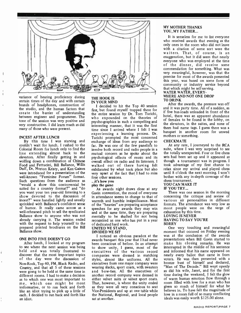

variance of hearing proficiency during certain times of the day and with certain brands of headphones, construction of the studio, and the human factors that create the barrier of understanding between engineer and programmer. The tone of the session was very positive and very constructive. I did learn much as did many of those who were present.

### INCEST AFTER LUNCH

By this time I was starving and couldn't wait for lunch. I rushed to the Colonial Room for lunch only to find the line extending almost back to the elevators. After finally getting in and wolfing down a combination of Chinese ov Food and Fettucini, Bill Ballance, Willis Duff, Dr. Norton Kristy, and Ken Gaines were introduced for a presentation of the well-known "Feminine Forum" format.<br>Such questions from the audience as "would a show this controversial be suited for a country format?" and "do you want your ten year-old listening to a G<sub>a</sub><br>show devoted to the discussion of in incest?" were handled lightly and usually  $_{\rm w}$ sprinkled with Ballance's confident sense of humor. It really came across as a well -rehearsed pitch to sell the syndicated Ballance show to anyone who was not already carrying it. The session ended with the request to help yourself to the prepared printed brochures on the Bill Ballance show.

### ONE INTO FIVE DOESN'T GO

to see where the next session was being held and was totally frustrated to discover that the most important topics of the day were the discussion of Non-Rock, Top 40, FM, Black Radio, and executives from one major company were Country, and that all 5 of these sessions were going to be held at the same time in different rooms. I had to make a decision as to which one was most important to me, which one might be most imformative, or to run back and forth like an idiot trying to pick up a little of each. I decided to run back and forth like an idiot.

### THE HOOK IS IN YOUR MIND

<sup>I</sup>decided to hit the Top 40 session first, but found myself trapped there for the entire session by Dr. Tom Turichi, who expounded on the theories of psycho-graphics in such a compelling and<br>interesting means that it was the first the elevators, in the suites, and none of interesting manner, that it was the first<br>time since I arrived where I felt I was<br>them had name tags. I guess there was a experiencing a learning process. Dr. Turichi prompted the most concerned exchange of ideas from any audience so far. He was one of the few panelists to At any rate, I journeyed to the RCA involve both record and radio people in a suite, where I was very surprised to see involve both record and radio people in a mutual concern as he spoke about the psychological effects of music and its overall effect on radio and its listeners. I walked out of there having felt exhilarated by what took place but also very upset at the fact that I had to miss four other sessions.

### hit's how you.

### play the game

As awards night draws close at any Gavin convention, the mood of everyone in attendance seems to change to that of warmth and humble insignificance. Most of the "heavies" are preparing acceptance formats. The attendance was very low as speeches for any awards they may win most people were on the verge of speeches for any awards they may win and at the same time, they are preparing mentally to be shafted for not being recognized as one who has put in a year of dedicated hard work. UNITED WE STAND,

### DIVIDED WE SIT

E INTO FIVE DOESN'T GO<br>After lunch, I looked at my program been conscious of before. In an attempt I noticed an obvious paradox at the been conscious of before. In an attempt make his closing remarks. He was to show unity. I guess, most of the interrupted in the middle of his sentence to show unity, I guess, most of the interrupted in the middle of his sentence executives of the various record and informed that his name appeared on executives of the various record companies were dressed in matching nearly every ballot that came in from<br>styles, almost like uniforms. All the voters, He was then presented with a styles, almost like uniforms. All the wearing slacks, sport coats, with sweaters and bow -ties. All the executives of another record company were dressed in time during the weekend, I felt the glow either velvet suits or velvet sport coats. of warm human emotion flow through a either velvet suits or velvet sport coats. That, however, is where the unity ended as they were all very conscious to seat Vice-Presidents and up at one table while the National, Regional, and local people sat at another.

# MY MOTHER THANKS YOU, MY FATHER...

It is senseless for me to list everyone who received awards that evening as the only ones in the room who did not leave with a citation of some sort were the waiters. That, of course, is an exaggeration, but it did seem that nearly everyone who was employed at the time of the dinner, did receive some commendation for something. What was very meaningful, however, was that the premise for most of the awards presented this year, was based on some form of community or industry service beyond that which might be self-serving. WATER WATER, EVERY-WHERE AND NOT ONE DROP

# TO DRINK

After the awards, the pressure was off and it was party time. All of a sudden, as if five bus -loads unloaded in front of the hotel, there was an apparent abundance of females to be found in the lobby, on banquet in another room for unwed mothers or something.

### CHECKMATE

At any rate, I journeyed to the RCA the totally unexpected. Four or five chess sets had been set up and it appeared as though a tournament was in progress. I took advantage of my first chance to relax since my arrival and played chess until 8 o'clock the next morning. I won't bother with any in -depth coverage of the chess tournament.

# YOU CAN MAKE IT

# IF YOU TRY...

There was one session in the morning concerning the critique and review of various air personalities in different formats. The attendance was very low as exhaustion by this time.

### LOVING IS NEVER HAVING TO SAY YOU'RE

**SORRY** 

One very touching and meaningful moment that occured on Friday evening was at the conclusion of the awards presentations when Bill Gavin started to make his closing remarks. He was nearly every ballot that came in from bronze bust of himself and declared, "Man of The Decade." Bill wept openly as did his wife, Janet, and for the first time during the weekend, I felt the glow room filled with love for a man who has given so much of himself for what he believes in. To have felt the magnitude of love in a room full of so many conflicting ideals was easily worth \$125.00 alone.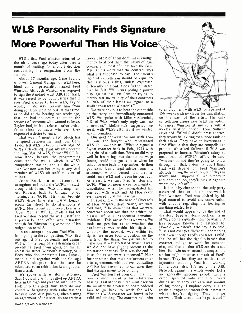# WLS Personality Finds Signature More Powerful Than His Voice

WLS artist, Fred Winston returned to the air a week ago today after over a month of waiting for a court decision concerning his resignation from the station.

About 17 months ago, Gene Taylor, who was General Manager of WLS here, hired an air personality named Fred Winston. Although Winston was required to sign the standard WLS (ABC) contract, it was agreed to by both parties that if ever Fred wanted to leave WLS, Taylor would, in no way, prevent him from doing so. Gene pointed out, at that time, as he did at the hearing two weeks ago, that he had no desire to retain the services of someone who wanted to leave. Taylor had, in fact, released other artists comment." McCormick suggested we<br>from their contracts whenever they speak with WLS's attorney if we wanted from their contracts whenever they expressed a desire to leave.

That was 17 months ago. Much has transpired between then and now. Gene Taylor left WLS to become Gen. Mgr. of WIXY (Cleveland), Paul Abrams became the Gen. Mgr. of WLS, former WLS P.D., John Rook, became the programming consultant for WCFL which is WLS's competition station, and all the while, Fred Winston was becoming a very vital member of WLS's air staff in terms of ratings.

John Rook, in an attempt to strengthen and build the WCFL air staff, brought his former WLS morning man, Art Roberts, back to Chicago to do mornings at WCFL. He then brought WLS's drive time star, Larry Lujack, across the street to do afternoons at WCFL. Most recently, however, Lew Witz (Oper. Mgr. at WCFL), made a bid for Fred Winston to join the WCFL staff and apparently the offer was attractive enough for Winston to give notice of his took no position as to whether the resignation to WLS. resignation to WLS.

In an attempt to prevent Fred Winston from going to the competition, WLS filed suit against Fred personally and against WCFL in the form of a restraining order preventing Fred from going on the air across the street. Winston's attorney, Saul Foos, who also represents Larry Lujack, made a bid together with the Chicago AFTRA chapter that the case be submitted to an arbitration hearing rather than a trial.

We spoke with Winston's attorney, Saul Foos, who said, "I called up AFTRA over a month awaiting his arbitration here in Chicago and pleaded with them to hearing. Last Monday, Fred went back on here in Chicago and pleaded with them to look into this next time they do any collective bargaining with radio stations because most disc jockeys, when signing an agreement of this sort, do not retain a

lawyer. Most of them don't make enough money to afford them the luxury of legal counsel and most of them take the Gen. Mgr. at his word that the contract says what it's supposed to say. The talent's right of cancellation should be equal to the station's rights, unless expressed differently in front. Foos further stated that he felt, "WLS was posing a power play against his law firm or trying to merely test the validity of their contracts as 90% of their latent are signed to a similar contract to Winston's."

We were anxious to hear the other side of the story and immediately contacted WLS. We spoke with Mike McCormick, P.D. of WLS, who's only reply was "no comment." McCormick suggested we any information.

Our next conversation was with Tom Sullivan, the lawyer who represented WLS. Sullivan told us, "Winston signed a 3 -year contract back in Feb., 1971 with no right of cancellation. Winston did very well in his ratings but due to the wage freeze, could not get a raise when he asked for one back in September. He then got some bumb legal advice from his that will depend on Fred Winston's attorneys, who informed him that he attitude during the next couple of days or attorneys, who informed him that he could leave WLS and breach his contract. As a result, we sued Fred Winston and WCFL. Winston never asked for a right of cancellation when he re-negotiated his contract with WLS and AFTRA never even showed up at the hearings."

In speaking with the head of Chicago's AFTRA chapter, Herb Neuer, we were told that, "The main thing that we were concerned about was that the arbitration clause of our agreement remained inviolate. This was as far as we went. We took no position as to whether the whether the network was within its rights. We never took a position on the merits of the thing. We just wanted to make sure it was arbitrated, which it was. We did not have anyone present at the arbitration hearings. That was the end of it as far as we were concerned." Nuer station might incur as a result of Fred's further stated that most performers enter breach. They feel they are entitled to an further stated that most performers enter into agreements without ever consulting AFTRA but never fail to call after they find the agreement to be binding.

Fred Winston had been off the air for over a month awaiting his arbitration the air after the arbitration board ordered him to go back to work for WLS. Winston's WLS contract was found to be valid and binding. The contract held him to employment with WLS for a period of 156 weeks with no clause for cancellation on the part of the artist. The only cancellation clause gave WLS the option to cancel Winston at any time with 4 weeks written notice. Tom Sullivan explained, "if WLS didn't press charges, they would be inviting even more raids on their talent. They have an investment in Fred Winston that they are compelled to protect. We asked Sullivan if WLS was prepared to increase Winston's salary to meet that of WCFL's offer. He said, "whether or not they're going to follow through on that, I don't know. I think that will depend on Fred Winston's weeks and I suppose if Fred pitches in and does the job, they'll pick it right up where they left off."

It is not by chance that the only party concerned that was not interviewed is Fred Winston. Fred was advised by his legal counsel to avoid any conversation with anyone regarding the hearing or anything related to it.

That would appear to be the end of the story. Fred Winston is back on the air at WLS doing a quality show for which he has become known and listened to. However, Winston's attorney also said, "...it's not over yet. We're still contending that even though Fred's contract is valid, that he still has the right to breach that contract and go to work for someone else, and that all that WLS can do is sue him for whatever actual damages the station might incur as a result of Fred's injucntion stopping Fred from working for anyone else. It's really the ABC Network against the whole world. D.J'S are generally insecure people with a career span of only about ten years during which they can earn any amount of big money. I implore every D.J. to retain a lawyer to protect their interest in what they're signing. They do get screwed. Their talent must be protected."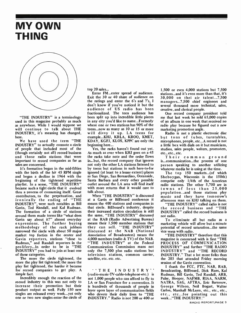# MY OWN THING



"THE INDUSTRY" is a terminology used in this magazine probably as much<br>as anywhere. While I would suppose we will continue to talk about THE INDUSTRY, it's meaning has changed, here.

We have used the term "THE INDUSTRY" to actually connote a circle of people that included most of the (though certainly not all) record business<br>and those radio stations that were important to record companies as far as sales are concerned.

It's formation began in the mid-fifties with the birth of the hit 45 RPM single and began a decline in 1964 with the beginning of the tightened repetitive playlist. In a sense, "THE INDUSTRY" became such a tight circle that it evolved thru a process of consuming itself. Great contributors, to the perpetuation, and When "THE INDUSTRY" is discussed<br>ironically the ending of "THE at a Gavin or Billboard conference it ironically the ending of "THE INDUSTRY", were such notables as Bill n Gavin, Ted Randall, and Kal Rudman. The formation of a circle of stations around them made terms like "what does Gavin say about it?" almost everyday expressions. The further buying methodology of the rack jobbers narrowed the circle with about 50 major market top forties in the center and Gavin reporters, stations "close to Rudman," and Randall reporters in the prolifery...In order to be in "THE INDUSTRY" you had to join at least one of these categories.

The more the circle tightened, the more the play list tightened; the more the play list tightened, the harder it became for record companies to get play. A simple fact.

Incredibly enough the reaction of the record industry to this was not only to increase their promotion but their product output as well. Fully 150 new singles are released every week...yet only one or two new singles enter the circle of top 20 sales...

Enter FM...enter spread of audience. Exit the 30 or 40 share of audience on the ratings and enter the 6's and 7's, I don't know if you've noticed it but the audience of US radio has been fractionalized. The teen audience has been split up into incredible little pieces in any city you'd like to name...Formerly where one or two stations has 90% of the teens...now as many as 10 or 15 or more will divvy it up. LA teens for example...KHJ, KRLA, KROQ, KMET, KDAY, KGFJ, KLOS, KPPC are only the beginning here...

Yes, the racks haven't found out yet. As much as ever when KHJ goes on a 45 etc., etc., etc. the racks take note and the order flows in...but, the record company that ignores not only the other LA stations listened to by teens but stations in such here-to-for ignored (at least to a lesser extent) places as San Diego, San Bernardino, Oceanside, Santa Barbara and every other possible outlet around the LA area will find itself with more returns that it would care to talk about.

When "THE INDUSTRY" is discussed means the 400 stations and companies in that circle. Billboard's industry, despite their increased station circulation is still the same, "THE INDUSTRY" discussed at the RAB (Radio Advertising Bureau) means their 1,500 member stations that marketing vehicle will allow but a minute they can sell. "THE INDUSTRY" discussed at the NAB (National Association of Broadcasters) means the 4,000 members (radio & TV) of the NAB. "THE INDUSTRY" at the Federal Communication Commission mans not only the 7,500 plus radio stations but television stations, common carrier, satellite, etc. etc. etc.

'`THE INDUSTRY" ( radio -music -TV- cable -telephone -etc.) is not 1,000 people who can afford to fly to LA or San Francisco for a convention. It is hundreds of thousands of people in layer upon layer of communication fields who devote their daily lives to "THE INDUSTRY." Radio is not 200 or 400 or

1,500 or even 4,000 stations but 7,500 stations...and it's even more than that, it's 30,000 on thei air talent...7,500 managers...7,500 chief engineers and several thousand more technical, sales, creative, and clerical people.

One record company president told me that last week he sold 65,000 copies of an album in one week that received no radio play because he figured out a new marketing promotion angle.

Radio is not a plastic electronic disc but tons of tubes, turntables, microphones, people, etc...A record is not a little box with dials on it but musicians, studios, sales people, writers, promoters,

Their common ground is...communication...the process of one person speaking to another utilizing whatever media he is using at the time.

The top 150 markets...(of which Sheboygan, Wisconsin is the 150th) comprise only 1/4th of the American radio stations. The other 5,700 are in towns of less than 25,000 population...and those stations play music and they have tomorrow's afternoon man on KHJ talking on them.

"THE INDUSTRY" called radio is not the record business and "THE INDUSTRY" called the record business is not radio.

To eliminate all but radio as a potential of record saturation...the same vice versa with radio.

"THE INDUSTRY" therefore that this magazine is concerned with is first "THE PROCESS OF COMMUNICATION INDUSTRY" and further "THE RADIO INDUSTRY" and "THE RECORD INDUSTRY." That a lot more folks than the 203 that attended Friday morning session of the Gavin convention.

<sup>I</sup>thank the FCC, FTC, NAB, RAB, Broadcasting, Billboard, Dick Rues, Kal Rudman, Bill Gavin, Ted Randall, ARB, Pulse, Hooper, NAFMB, RIAA, NARM, NATRA, SAG, AFTRA, Eric Barnouw, George Wilson, Neil Bogart, Walter Carlos, Marshall McLuen, etc., etc., etc., etc., etc...for pointing out this week... "THE INDUSTRY."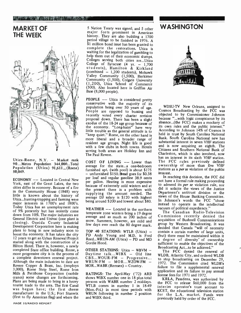# MARKET OF THE WEEK



Utica-Rome,  $N.Y. -$  Market rank 90...Metro Population 344,000...Total Population (Utica)  $91,611...$  (Rome) average for the state...a one-oeuroom<br>50.049 50,049.

ECONOMY -- Located in Central New York, east of the Great Lakes, the two cities differ in economy. Because of a fire in the Community House (1848) very little is known about the history of Utica...hunting-trapping and farming were major interests in 1700's and 1800's. Today Utica has an unemployment rate of 9% presently but has recently come  $\frac{1}{t}$ down from 10%. The major industries are<br>General Electric and Univac (one plant is closing). Oneida County Industrial Development Corporation here is making plans to bring in new industry soon to boost the economy. It has taken the city 12 years to get an Urban Renewal Project<br>started along with the construction of a Hilton Hotel. There is, however, a newly completed State office building. Rome, a more progressive city is in the process of a complete downtown renewal project. Although the main industries to date are Revere Copper & Brass, Inc. (employs MOR...WABR (Remsen) - Country. 3,000), Rome Strip Steel, Rome Iron Mills & Pettibone Corporation (mobile cranes) some changes are forthcoming. Plans are being made to bring in a heavy tourist trade to the area. The Erie Canal was begun here; the first cheese manufacturer in the U.S.; Fort Stanwix (first to fly American flag) and where the

<sup>5</sup>Nation Treaty was signed; and 5 other major forts prominent in American history. They are also building a 1700 period village to be finished in 1976. A \$1 million bond issue has been granted to complete the restorations. Utica is waiting for the legalization of gambling to<br>help them out of their economic slumps. Colleges serving both cities are...Utica College of Syracuse  $(4 \text{ yr.} - 1,700 \text{ students})$ , Hamilton & Kirkland  $(combined - 1,200 students)$ , Mohawk Valley Community  $(1,500)$ , Herkimer Community (1,500), Colgate University (1,200), Utica School of Commerce (500). Also located here is Griffiss Air Base (8,000 people).

PEOPLE -- Utica is considered pretty conservative with the majority of its population being over 50 years of age. People are opposed to bussing and Cosmos Broadcasting by the FCC was recently voted every charter revision<br>proposal down. There has been a slight proposal down. There has been a slight because of the  $18-24$  age group because of the economy. "Long-hairs" have very <sup>11</sup><br>little trouble as the general attitude is to "keep quiet." Rome, on the other hand is more liberal and a broader range of resident age groups. Night life is good with a few clubs in both towns. Hotels serving both areas are Holiday Inn and The Paul Revere.

average for the state...a one -bedroom  $-$  unfurnished \$150. Bread goes for \$0.38 per loaf and regular gasoline 38.9 cents per gallon. Heating is more expensive because of extremely cold winters and at the present there is a problem with supplying the amount needed. The average DJ salary is \$120 with highest being around \$200 and lowest about \$80.

WEATHER  $--$  Located in the northern temperate zone winters bring a 19 degree<br>average and as much as 200 inches of few days ever reach the 80 degree mark.

TOP 40 STATIONS: WTLB (Utica) -PD Andy Young and M.D. is Fred Reed...WRUN-AM (Utica) - PD and MD Gordie Hood.

OTHER STATIONS: Utica - WBVM - Daytime talk...WIBX - Old line  $CBS...WOUR$  - Progressive...  $WRUN-FM - MOR...WZOW-FM -$ 

RATINGS: The April-May ('72) ARB shows WIBX number one in 18 plus total persons with WABR number 2 middays. WTLB comes in number 1 in 18-49 (Mon.-Fri.) in most time periods with WRUN following in number 2 position and WIBX third.

# **WASHINGTON**



has an interest in its sixth VHF station.<br>COST OF LIVING -- Lower than The FCC rules previously defined WDSU-TV New Orleans, assigned to objected to by Commissioner Johnson because "...with logic conspicuous by its absence...(the FCC) makes a mockery of its own rules and the public interest." According to Johnson 14% of Cosmos is held in trust by South Carolina National Bank. South Carolina National new has substantial interest in seven VHF stations and is now acquiring an eighth. The Citizens and Southern National Bank of Charleston, which is also involved, now The FCC rules previously defined ownership of more than five VHF stations as a *per se* violation of the public interest.

> In reaching this decision, the FCC did not have a formal rule making proceeding to admend its per se violation rule, nor did it solicite the views of the Justice Department's antitrust division or the views of the House Banking Committee. In Johnson's words the FCC "chose instead to operate in the intellectual vacuum of political expediency."

snow. Summers, however, are mild and acquisition of Busnnell Communications few days ever reach the  $\frac{1}{20}$  degree mark group by Western Broadcasting. It was The Canadian Radio -Television Commission recently denied the acquisition of Bushnell Communications decided that Canada "will of necessity contain a certain number of large units, (but) there must be maintained within it a degree of diversity' of ownership sufficient to enable the objectives of the Broadcasting Act...to be achieved."

> The FCC denied the renewal of WLDB, Atlantic City, and ordered WLDB to stop broadcasting on December 29, 1972. The Commission cited WLDB's failure to file a supplemental renewal application and its failure to pay annual license fees for 1971 and 1972.

> KRLA, Pasadena, was authorized by the FCC to release \$60,000 from the interim operator's trust account to KCET, the educational television station for the L.A. market. Funds were previously held by order of the FCC.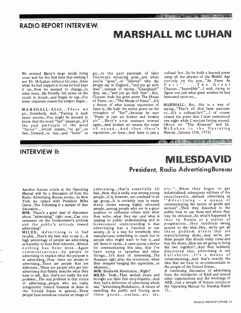# RADIO REPORT INTERVIEW:

# MARSHALL MC LIMAN

We entered Barry's large sterile living room and for the first time that evening I saw Dr. McLuhan without his coat...Even while he had napped at home he had kept it on...Now he seemed to change...to relax more...He literally fell down on the couch in slouch...and began to rap...For some unknown reason his subject began...

MARSHALL:Ahhh...There we go...Somebody said... "Farting is such sweet sorrow...You might be amused to know that the word "fart" means go...It's the past participle of the word "faron"...which means..."to go"...to of fare...forward...to fare...and "faron" to

go...is the past participle of fahrt (German) meaning gone...and when you're "gone"...or "fahrted" why the en people say in England... "and joy go with thee"...instead of saying..."Gesunheidt" they say..." and joy go with thee"...But, figure out just what Chaucer built his great poem The House bestowed upon me... Chaucer built his great poem The House of Fame...or... "The Heuse of Fame"...It's a theory of what human reputation of fame is...He built the entire poem on the metaphor of "fart"...because he says "Fame is just air broken and broken air"...Here's your resonant interval again...And broken air creates the noise of sound...And then there's reputation...or fame...And fame is just a

collosal fart...So he built a learned poem using all the physics of the Middle Age using an the physics of the middle Age<br>entirely on the pun..."As Fame As<br>F a r t ''... T h e G r e a t<br>Chaucer..."Incredible"...I said, trying to figure out just what great wisdom he had

bestowed upon me...<br>MARSHALL: But, this is a way of saying... "That's all that fame amounts to...It's a collosal fart!"...I of course missed the point that I later understood one night while I was just farting around. (More on "The Airwaves" and Dr. McLuhan in the Operating Manual...January 15th, 1973)

· 1995. 人名英格兰人姓氏沃尔森取自父名来源于古英语

# INTERVIEW II:

# M ILFSDAVID President, Radio AdvertisingBureau

Another feature article in the Operating Manual will be a discussion of how the Radio Advertising Bureau works...In New York we talked with President Miles David...The following is a sample of that discussion...

BOB: There's a great deal of discussion about "advertising" right now...Can you comment on the Government's attitude and the public's attitude toward

advertising? MILES: Advertising is in bad trouble...That's the best way to say it...A high percentage of people see advertising as harmful to their best interests...Almost<br>nothing has been done...Again communications...by people in advertising to explain what the purpose is in advertising...Now there are abuses in advertising...There are people that are dishonest...There are people who get into advertising that falsely describe what they have to sell...But, that's not really the real problem...The real problem is that critics of advertising...people who are really antagonistic toward business as done in was "Advertising-Hullabaloo...A means of the United States in general...Those swindling the public and forcing upon the United States in general...Those people have somehow created an image of

advertising...that's essentially all bad...Now this is really true among young people...It is, however, not confined to an age group...It is certainly true in many  $A d \vee e$ rtising  $-$  a means of many circles among highly educated people...among people who are in a great position to influence others with what they write...what they say...and what is missing in public understanding and in Government understanding is that advertising has a function in our society...It is a way for somebody who manufactures something to reach out to people who might want to buy it...and tell them it exists...I came across a device for communicating this idea, that I've been using in speeches and other things...It's kind of interesting...The Russians right after the revolution, when they stopped hanging the capitolists...or whatever...

BOB: Bolshevik Revolution...Right?

MILES: Yeah...They settled down and brought out their first encyclopedia...And they had a definition of advertising which was "Advertising-Hullabaloo...A means of them goods...useless...etc. etc.

etc. "...When they began to get industrialized, subsequent editions of the encyclopedia...defined advertising as communicating the nature of goods and services"...Then they described to the public how to use them and where they may be obtained...So what's happened is that in Russia as a matter of pragmatism...they suddenly swung around to the idea...Hey, we've got all these goddam plants that are manufacturing shoes...And we've got these people that should really come and buy the shoes...How are we going to bring the two together?...And they suddenly discovered that advertising is not hullabaloo...It's a means of communicating...And that's exactly the idea that we have to re-communicate to the people of the United States...

A continuing discussion of advertising from the standpoint of RAB and several other organizations and the workings of ARB...Just a sample of feature articles in the Operating Manual for Starship Radio 73...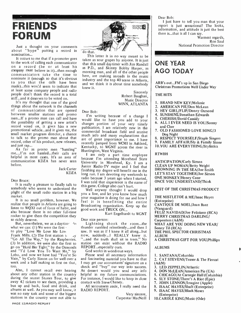# FRIENDS FORUM

Just a thought on your comments about "hype" putting a record in nomination...

to the work of calling each communicator on a record (he or at least his as P.D., and Skinny Bobby Harper, as<br>company must believe in it)...then enough morning man and all of the rest of company must believe in it)...then enough morning man, and all of the other people communicators take the time to nominate it (enough so that it's obvious to you that the calls have been made)...this would seem to indicate that at least some company people and radio people don't think the record is a total stiff...and it deserves to be voted on.

It's my thought that one of the good things about the network is the channels of communication that are opened Dear Bob:<br>between smaller stations and promo l'm writing because of a change I men...If a promo man can call and have the possibility of getting a new artist's women that to have you add to your<br>record voted on, it gives him a new changes portion I am relatively new imply promotional vehicle...and it gives me, the small market program director, a chance much info and many explanations that to talk to the promo man about that  $\frac{m}{\text{area}}$ record, other of his product, new releases,  $\frac{d}{d}$ 

and just rap...<br>As far as promo men "hassling" me...I'm not hassled...their calls are helpful in most cases. It's an area of communication KDZA has never seen before.

Jack Carter KDZA

Dear Bruce:

It is really a pleasure to finally talk to somebody who seems to understand the plight of the small radio station in a big market.

realize that people in Atlanta are going to listen to WQXI out of force of habit, and also because there is no other full-time rocker to give them the competition they so richly deserve.

But, nevertheless, we as a daytime  $4\sigma$ what we can:  $(1)$  We were the first  $\cdot$ to play "Love Me Love Me Lov. Frank Mills. (2) The first station  $t_1$  ay "Go All The Way," by the Raspberries. (3) In addition, we were also the first to station can exist withous go on "Hold Her Tight," by the Osmonds REPORT...especially ours. go on "Hold Her Tight," by the Osmonds and "I'd Love You To Want Me," by Lobo. and now we have had "You're So<br>Vain," by Carly Simon on for well over a week and a half making us first on that, I may get our accountants' signature on a too.

Also, I cannot recall ever hearing about any other station in the country during the recent Stones Tour, to give away 42 tickets to see them, providing a bus up and back, food and drink, and albums as well. As you may well know, it was no easy task and some of the biggest stations in the country were not able to



do that.

It occurs to me that if a promoter goes taken as sour grapes by anyone. It is just This letter is in no way meant to be that this small day timer with Jim Randall here, are making inroads in the music industry and the top 40 scene in Atlanta, and we think it is about time somebody knew it.

Sincerely Robert Baughan, Music Director WINN, ATLANTA

Dear Bob:

would like to have you add to your changes portion of your very timely  $\begin{bmatrix} c \\ d \end{bmatrix}$ commercial broadcast field and receive | ' much informations are of great importance to me. I have recently jumped from WCMI in Ashland, Kentucky, to WGNT across the river in Huntington, West Virginia.

I am only a part time employee | <sup>F</sup> because I'm attending Morehead State University in Morehead, Ky. I am a Junior Radio -TV major and I feel that finishing my degree will benefit me in the long run. I am devoting my weekends to radio because 3 years ago when I started, <sup>I</sup>was told that experience is the name of this game. College also can't hurt.

It is no small problem, however. We feel it is benefitting the entire-Well anyway thought I would drop you a line, and let you know how much feel it is benefitting the entire Broadcasting organization. Keep up the good work and TRUCK ON...

Kurt Engelhardt to WGNT Dear nice person:

Lightning shook the room...the thunder rumbled relentlessly...and then I saw. It was as if I knew it all along...but now, suddenly...I REALLY knew it. "...and the truth shall sit in trees." No station can exist without the RADIO

God works in wondrous ways.

Please send all necessary information and fascinating material you have so that check and "buy" our way into success. As dessert would you send any info helpful in my future communciations. For instance, I would like to keep in close contact with Steve Cheney.

All seriousness aside, I really need the RADIO REPORT.

> Very sincere, Carpentar MacNeill

Dear Bob:

I just have to tell you man that your report is just sensational! The looks, information, and attitude is just the best there is...that is all I can say.

Warmest regards, Ron Saul National Promotion Director



# ONE YEAR AGO TODAY

ARB's out...FM's up in San Diego Christmas Promotions Well Under Way

# THE HITS

- 1. BRAND NEW KEY/Melanie
- 2. AMERICAN PIE/Don McLean
- 3. HEY GIRL/FLIP/Donny Osmond
- 4. SUNSHINE/Jonathan Edwards
- 5. CHERISH /David Cassidy
- 6. ALL I EVER NEED IS YOU /Sonny and Cher
- 7. OLD FASHIONED LOVE SONG /3 Dog Night
- 8. RESPECT YOURSELF /Staple Singers
- 9. FAMILY AFFAIR /Sly & Family Stone
- 10.YOU ARE EVERYTHING /Stylistics

# RTWBH

**ANTICIPATION/Carly Simon** CLEAN UP WOMAN/Betty Wright DROWNING IN THE SEA/Joe Smith LET'S STAY TOGETHER /Joe Simon ONE MONKEY /Honey Cone ONCE YOU UNDERSTAND /Think

# BEST OF THE CHRISTMAS PRODUCT

THE MISTLETOE & ME/Isaac Hayes (Enterprise) CANTIQUE DE NOEL /Joan Baez (Vanguard) FELIZ NAVIDAD/Joe Feliciano (RCA) MERRY CHRISTMAS DARLING/ Carpenters (A&M) WHAT ARE YOU DOING NEW YEAR/ Sonny Til (RCA) THE PHIL SPECTOR CHRISTMAS ALBUM A CHRISTMAS GIFT FOR YOU /Phillips ALBUMS

- 1. SANTANA /Columbia
- 2. CAT STEVENS/Teaser & The Firecat  $(A&M)$ 
	- 3. LED ZEPPELIN /Atlantic
- 4. DON McLEAN/American Pie (UA)
- 5. CHICAGO/At Carnegie Hall (Columbia)
- 6. SLY STONE/There's A Riot (Epic)
- 7. JOHN LENNON /Imagine (Apple)
- 8. ISAAC HAYES/Shaft (Enterprise)
- 9. ISAAC HAYES/Black Moses
- (Enterprise)
- 10.CAROLE KING/Music (Ode)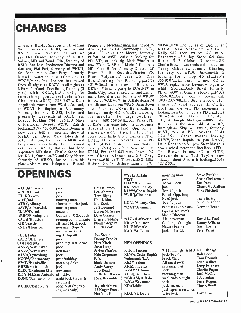# **CHANGES**

Lineup at KOME, San Jose is...J. William Weed, formerly of KSJO, San Jose and KSFX, San Francisco, PD and 3-7 pm...Phil Charles, formerly of KERR, Salinas, MD and 7-mid...Rife, formerly of KSJO, San Jose, Production Director and 6 -10 am, Phil Peri, formerly of WNDU, So. Bend, mid.-6...Curt Perry, formerly KWWL, Waterloo now afternoons at WDGY /Minn...Phil Jackson has moved from all nights at KBZY to all nights at KPAM, Portland...Don Burns, formerly (3 yrs.) with KRLA/L.A...looking for something good...available after Christmas...(805) 523-7871...Kurt Engelhardt moves from WCMI, Ashland, to WGNT, Huntington, W. V...Tommy Kramer, formerly KNUS, Dallas and presently weekends at KCBQ, San Diego...looking...(714) 286 -1170 (days only)...Ken Sweet, WRNC, Raleigh looking...(919) 467-6180...Marc Dennis is now doing 6-10 am morning show at emergency appendicitis<br>KSEA, San Diego...Mark Edwards at operation...Charlie Stone, formerly PD of KSEA, San Diego...Mark Edwards at KADI, Auburn, Calif. needs MOR and Progressive Service badly...Bob Sherwood 6 -10 pm at WYSL, Buffalo has been appointed MD there...Charlie Stone has left KOIL, Omaha as PD and Gary Martin formerly of WRKO, Boston takes his place...Alan Mitnick, Independent Record

# OPENINGS

WABQ/Cleveland WRIF/Detroit KTLK/Denver WIFE/Ind. WTRY/Albany WSVP/W. Warwick CKLW/Detroit WERC/Birmingham KAUM/Houston **KJR/Seattle** KNUZ/Houston

KELI/Tulsa KATZ/St. Louis CJME/Regina WAVZ/New Haven WAVZ/New Haven WLVA/Lynchburg WGOW/Chattanooga WVOV/Huntsville WHEB/Portsmouth KLEC /Oklahoma City KITY -FM /San Antonio aft. drive KONO/San Antonio

-1

WQRK/Norfolk, Pa.

jock jock jock morning man afternoon drive jock morning man newsman Contemp. MOR Jock Da<br>evening communicator Br evening communicator all night black jock newsman (tape & resume, no calls) nights top 40 jock prod mgf./aft. drive Ha jock newsman jock prod/midday morning drive jock newsman night jock (tapes & resumes) jock  $7-10$  (tapes & resumes only)

Promo and Merchandising, has moved to Atlanta, Ga...8701-F Dunwoody Pl. N.E., (404) 993-1560...Don Moore, formerly PD/MD of WISE, Ashville, looking for PD, MD, or jock gig...Mark Wheeler is MD...Mark Hodes, formerly Director LP Promo-Buddha Records...Director FM fo Promo-Polydor...! year with Cash Box...looking for Promo gig...(212) 423-9456...Charlie Brown, 2½ yrs. at KDWB, Minn., is going to KCAU-TV in Souix City, Iowa as newsman and anchor man...Jack Sheridan, formerly of WKBW is now at WADV-FM in Buffalo doing 7-1 am...Barney Luv from WKSN, Jamestown now 1-6 am at WKBW, Buffalo...Barry<br>James, formerly MD of WLRV is looking for medium to large Southern market...(618) 568-5841...Tom Parker, PD of KGW, has gone into the Providence<br>Hospital in Portland, Ore. for an emergency appendicitis KOIL, Omaha, looking for a PD sp o t...(405) 264-3931...Tom Watson Lit looking...(503) 223-8977...New line up at nov KPAM, Portland? 6-10 Mark Lewis...10-2 pm Chris Alexander...2 -6 Gary Stevens...6-10 Jeff Thomas...10-2 Mike Hudson...2 -6 Phil Jackson...weekends Ed

now PD at WISE and Michael Collins is Charlie Brown...weekends and production Mason...New line up as of Dec. 18 at KTSA, San Antonio? 5 -9 Gene Kelly...9-12 Todd Wallace...12-3 Bruce Hathaway...3-6 Jay Stone...6-9 Sam Burke...9 -12 Michael O'Conner...12 -5 Terry Osborne...Tommy Charles, formerly of WPDQ, Jacksonville is looking for a Top 40 gig...(904) 355- 9507...Jim Tuson is new MD at WWTC replacing Pat Devine, who goes to A&M Records...Andy Bickel, formerly PD of WOW in Omaha is looking...(402) 455- 6782...Gary Cook is looking...call (303) 232-781...Bill Strong is looking for a news gig...(213) 776-3231...D. Charles Hoffman, 6<sup>1</sup>/<sub>2</sub> yrs. PD experience is looking for a Contemporary PD gig...(616) 983 -6926...2708 Lakeshore Dr., Apt. 303, St. Joseph, Michigan 49085...John Bommer is the new GM at WERC, Birmingham...Skip Williamson, formerly WIST, WGOW PD...looking (314)<br>724-5911...Steve Warren leaving KLWW/Cedar Rapids to join KAAY, **|** Little Rock to do 8-ll pm...Steve Massie is now music director and Bob Beck is PD... Ted Brown is new PD at KUDE, Oceanside and Ted Taylor new midday...Brent Alberts is looking...(904) 427 -1550...

|                        | WYSL/Buffalo             | morning man                     | <b>Steve Franklin</b>    |
|------------------------|--------------------------|---------------------------------|--------------------------|
|                        | WIST                     | jock                            | <b>Scott Christenson</b> |
|                        | <b>CHAM/Hamilton</b>     | Top-40 jock                     | Don West                 |
| <b>Ernest James</b>    | <b>KKLS/Rapid City</b>   | jock                            | Chuck MacCallum          |
| Lee Abrams             | <b>KLWW/Cedar Rapids</b> | Top-40 jock                     | Mike Nitchell            |
| Tom Bigby              | WKRQ/Cincinnati          | Equal. Opp. Emp.                |                          |
| <b>Chuck Martin</b>    |                          | Need jock                       | <b>Chris Bailey</b>      |
| <b>Bill Rock</b>       | KGAL/Albany, Ore.        | Top-40 jock                     | Super Shannon            |
| <b>Jeff Leonard</b>    | WZAT/Savannah            | Prod Man (no calls-             | Norman Breen             |
| <b>Byron McGregor</b>  |                          | tapes & resumes)                |                          |
| Dave Gleason           |                          | <b>Music Director</b>           |                          |
| <b>Bruce Breeding</b>  | WAZY/Lafayette, Ind.     | Aft. newsman                    | David La Prod            |
| Norm Gregory           | <b>KRLY/Houston</b>      | Cookin jock, night              | Danny O'Brian            |
| <b>Chuck Scott</b>     | <b>KUUU/Seattle</b>      | News director                   | <b>Gary Loving</b>       |
|                        | KADI/St. Louis           | jock $-$ 1st Lic.               | <b>Peter Parisi</b>      |
| <b>Jon Steele</b>      |                          |                                 |                          |
| Donny Brooks           |                          |                                 |                          |
| Hart Kirch             | <b>NEW OPENINGS</b>      |                                 |                          |
| John Long              |                          |                                 |                          |
| <b>Steine Charles</b>  | <b>KTKT/Tucson</b>       | 7-12 midnight & MD John Hanagan |                          |
| <b>Kris Carpenter</b>  | <b>KLWW/Cedar Rapids</b> | jock-Top 40                     | <b>Bob Beck</b>          |
| P.D.                   | Watermark/L.A.           | Prod. Mgr.                      | <b>Tom Rounds</b>        |
| Mark Damon             | <b>KBZY/Salem</b>        | All night jock                  | John Walker              |
| <b>Andy Carey</b>      | <b>KRIZ/Phoenix</b>      | morning man                     | <b>Jerry Peterson</b>    |
| <b>Bob Read</b>        | WVAM/Altoona             | jock                            | Charlie Fagan            |
| <b>B. Bailey Brown</b> | <b>KCBQ/San Diego</b>    | morning man                     | Jack McCay               |
| <b>Rick Reynolds</b>   | WGR-FM/Buffalo           | weekends & night                | J.J. Jordan              |
|                        | WSGA/Savannah            | iock                            | <b>Jerry Rogers</b>      |
| Jay Blackburn          | KDWB/Minn.               | jock- no calls                  | <b>Chuck Buell</b>       |
| 11 Koger Exec.         |                          | just tapes & resumes            |                          |
| Norfolk, Pa.           | KIRL/St. Louis           | drive jock                      | Dave Scott               |
|                        |                          |                                 |                          |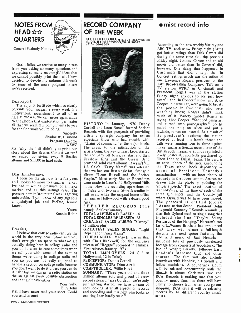# $\frac{1}{\text{NOTES}} \frac{1}{\text{RINR}}$ **QUARTERS Congress** General Peabody Nobody

Gosh, folks, we receive so many letters from you asking so many questions and expressing so many meaningful ideas that we cannot possibly print them all. I have decided to devote my column this week to some of the more poignant letters we've received.

### Dear Report:

The adjunct fortitude which so clearly<br>pervaids your magazine every week is a motivational nourishment to all of us here at WZWZ. We can never again alude to the phobia that exploitation permeates all that we read. Our compliments to you for the fine work you're doing.

Sincerely Shadoe W. Diamond Program Director WZWZ

P.S. Why the hell didn't you print our story about the Beatles Contest we ran? We ended up giving away 9 Beatles  $\begin{bmatrix} L \\ L \end{bmatrix}$ albums and \$11.00 in hard cash.

Dear Hamilton guys.<br>I been on the air now fer a fue yeers Ive had it wit da pressures of a major market and all this raitings crap. The pressure here in Mountain Creek is getting unbearable. If you know of any gigs fore a qualafyed jok and PeeDee, lemme eggs. know.

Rockin Robin

### Dear Sirs,

I believe that college radio can rule the world in the very near future and you don't ever give no space to what we are actually doing here in college radio and you don't seem to care sometimes when we call you with some of the exciting things we're doing in college radio and you say you are not really equipped to handle a section on college radio because you don't want to do it unless you can do<br>it right but we can get a radio station on the air against every possible obstruction and that ain't easy either.

Billy John

**P.S.** I have never read your sheet. Could and recording and this next you send us one? you send us one?

# RECORD COMPANY OF THE WEEK

SHELTER RECORDS **@** 5112 HOLLYWOOD<br>BLVD. **@** HOLLYWOOD,CA. @ 90027<br>(213) 660-1605



an I. lookin to move to a smaller market. | were made in Leon's old Hollywood Hills Cordell and Leon Russell formed Shelter Records with the prospects of providing artists a synergic company for artists especially those who had trouble with "chains of command" at the major labels. The music to the satisfaction of the  $\vert$  his censuring action...a recent issue of the artists being the key phrase. Leon started Bittish rock magazine Sounds reprinted a artists being the key phrase. Leon started | Bittish rock magazine Sounds reprinted a the company off to a great start and then | lovely postcard; reportedly purchased by the company off to a great start and then Freddie King and the Grease Band Elton John in Dallas, Texas. The card is provided solid chart albums. It wasn't 'till an aerial photo of the area surrounding provided solid chart albums. It wasn't 'till J.J. Cale's "Crazy Mama" was released that we had our first single hit...first gold  $\begin{vmatrix} \text{scene} & \text{of} & \text{President} & \text{Kennedy's} \\ \text{album} & \text{``Leon Russell and the Shelter} & \text{assassination} & \text{with an inset photo of} \end{vmatrix}$ album "Leon Russell and the Shelter | assassination  $-$  with an inset photo of People." Most early Shelter Recordings | Kennedy in the lower corner. Arrows are People." Most early Shelter Recordings house. Now the recording operations are in Tulsa with two new 16-track studios in full swing while the original home office

> Yours, name): Self-explanatory. Your truly, just getting started, we have a team of SHELTER RECORDS (the TOTAL ALBUMS RELEASED: 14 TOTAL SINGLES RELEASED: 28 GREATEST SALES ALBUM: "Carney" (1 million plus) GREATEST SALES SINGLE: "Tight | that they will release a full-length Rope" and "Crazy Mama" OTHER LABELS: Mango (in partnership with Chris Blackwell) for the exclusive release of "Reggae" recorded in Jamaica. [footage from concerts at Woodstock; The First releases January 1973. [5] Isle of Wright; Berkely, Fillmore East, First releases January 1973. TOTAL EMPLOYEES: 24 (12 in Hollywood, 12 in Tulsa) PERCEPTOR: Dennis Cordell COMMUNICATOR: Dino Airali COMPTROLLER: Willie Hoyt SUMMARY: "Three years old and three million albums sold and proud of every record released" says Cordell, "we're only aces looking after all aspects of records started, started, started, will be releasing and recording and this next year looks so records by 41 different country music and recording and this next year looks so

# $\bullet$  misc record info

HISTORY: In January, 1970 Denny and turned into pornography." So he Cordell and Leon Russell formed Shelter pulled the plug on Alice and put a remains in Hollywood with a dozen good where Oswald was to have been moved.<br>eggs. According to the new weekly Variety; the ABC TV rock show Friday night (24th) got better ratings than Dick Cavett did during the same time slot the previous Friday night. Johnny Carson and an old movie did better than 'In Concert' did, however. One thing that happened in Cincinnati that didn't help, the 'In<br>Concert' ratings much was the action of one Lawrence Rogers; president of the Taft Broadcasting Company, Taft owns TV station WPRC in Cincinnati and President Rogers was at the station Friday night anxious to see just how tasteful the `In Concert' show; and Alice Cooper in particular, were going to be. As<br>the people in Cincinnati who were watching know; Rogers didn't think much of it. Variety quotes Rogers as saying Alice Cooper: "Stopped being art and turned into pornography." So he rawhide, re-run on instead. As a result of its president's actions; the station received at least one bomb threat and calls were running four to three against his censuring action...a recent issue of the Elton John in Dallas, Texas. The card is an aerial photo of the area surrounding<br>the Texas school book depository scene of President Kennedy's<br>assassination - with an inset photo of Kennedy in the lower corner. Arrows are drawn into the photo pinpointing the 'sniper's perch.' The exact location of Kennedy's car at the time of each of the three gun shots, and the County jail where Oswald was to have been moved. "Assassination Scene: President John<br>Fitzgerald Kennedy." Sounds reminds us that Bob Dyland used to sing a song that included the line "They're Selling Postcards of the Hanging." He wasn't too far off...Warner Brothers has announced documentary next spring featuring the life and music of Jimi Hendrix  $$ including lots of previously unreleased footage from concerts at Woodstock; The Isle of Wright; Berkely, Fillmore East, London's Marquee Club and other sources. The film will also include interviews with Hendrix, his friends and fellow musicians. A soundtrack album will be released concurrently with the film...it is almost Christmas time and RCA Records is making sure that you country music fans out there will have plenty to choose from when you go out shopping, RCA says it will be releasing artists.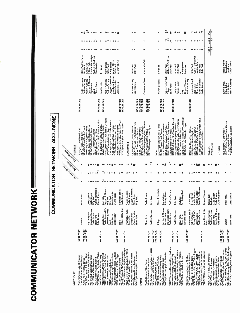# **COMMUNICATOR NETWORK**

# COMMUNICATOR NETWORK ADD-NONE

**THE R. A. A. A. A. A. A. A. A. MARINER REGISTER** 

NO REPORT<br>NO REPORT NO REPORT

ester/Judd Coursey<br>ester/Judd Coursey<br>ester/Judd Coursey<br>Colling Rivers<br>Colling Research<br>Colling Research Market<br>Paramity Political Research Material<br>Paramity Andy Carey<br>inser/Don Russell<br>ester/Judd Polonsky<br>ester/Judd Pol THE AST<br>F/Worcester<br>F/Rochester/Pachagae.<br>F/Rochester/Pachagae.<br>PAI: Please and the sacrification of the sacrifications of<br>Column and the sacrification of the sacrification<br>G/Marmisburge is a wave in the sacrification of t F- k.m4.súú.WUmziÿOCxmVt3CCj0 7 ú.C=ÇIXJVO v}imZYy. WtCO>WOOYa. ZO¡<joiJaC\< p G<mmÚVÚliFmcxxS4}J SJp2<y>>V QVUO@mpV (7\_-\_-. YY.J ZZ O'C CpCCyr.>yt <sup>Z</sup>33333333K33x33333333333 v°i 333333333 333333 3333333 33333333

WAFF/Decatur/Rick Brown<br>WAFF/Decatur/Rick Brown<br>WEIL/Chapel Hill, N.C./Dick Hongate<br>WEIL/Chapel Hill, N.C./Dick Hongate<br>WEIL/Chapel Hill, N.C./Dick<br>WEIL/Fargetterville/Marty Webb<br>WEIL/Fargetterville/Marty Webb<br>WEIL/Fargett

 $\overline{2}$   $\overline{2}$   $\overline{2}$   $\overline{2}$   $\overline{2}$   $\overline{2}$   $\overline{2}$   $\overline{2}$   $\overline{2}$   $\overline{2}$   $\overline{2}$   $\overline{2}$   $\overline{2}$   $\overline{2}$   $\overline{2}$   $\overline{2}$   $\overline{2}$   $\overline{2}$   $\overline{2}$   $\overline{2}$   $\overline{2}$   $\overline{2}$   $\overline{2}$   $\overline{2}$   $\overline{$ 

WRWC/Rafeigh,/Joe London<br>WROV/Roanoke/Joe Martin<br>WSGA/Savannah/Jerry Rogers<br>WTBC/Tuscaloo sa/Alan Burns

WVLK/Lexington/Terry Right<br>WYRE/Annapolis/Drnnis Constantine<br>WXXX/Hattleston, M. S. /Marse Connor<br>WXX/Hattleston, M. S. /Marse Connor<br>WZAT-FM/Savannah/Dave Wagman<br>WZAT-FM/Savannah/Dave Wagman

| KOBO/Yuba Giy, Cal,Tracy Mitchell<br>KRLC/Lewiston/Mike Lucas<br>KRPL/Moscow, Idaho/Gary Cummings<br>KRSP/Salt Lake City/Allen Hague<br>KVRO/Stillwater, I <del>k</del> la./Steve Goddard<br>KYLT/Missoula/Vern_Argo<br>KGAL/Albany, Ore/Dusty Brooks<br>KIRB/Spokane/Steve West<br>KNAK/Salt Lake City/Carolyn Cressal<br>KYSN/Colorado Springs/Gregor Vaule<br>KRCB/Council Bluffs/Patrick Arthur<br>WMEE/Ft. Wayne/Rick Hughes<br>WYNE/Appleton/Jay Patrick O'Neal<br>WYXE/Madison/Jouathan Pocket<br>KYLI/Missoula/Vern_Argo<br>WAZY/Lafayette, Ind./Dave Allison<br>KQEO/Albuquerque/Gary Diamond<br>KWHP/Edmond/Jim Wood<br>KKAT/Roswell, N.M./Charlie King<br>KLAR/Laredo/John Borders<br>KASH/Eugene/Mark Stewart<br>KASH/Eugene/Mark Stewart<br>KATA/Arcata/Francis Dickerson<br>KNDE/Sacramento/Doug Droese<br>KAFY/Bakersfield/Chris Conner<br>KSTT/Davenport/David Bradley<br>KDES/Palm Springs/Mark Wade<br>WISM/Madison/Jonathan Little<br>KUDI/Great Falls/Jack Stevens<br>KKLS/Rapid City/John Derrek<br><b>WDBQ/Dubuque/Paul Hemmer</b><br>KROK/Shreveport/James Lynn<br>KEWI/Topeka/Bob Finot<br>KEYN/Wichita/Charlie Cusack<br>KWWL/Waterloo/Buddy Hollis<br>KIMM/Rapid City/Sean James<br>KKAM/Pueblo/Chuck Thomas<br>KSEA/San Diego/Jerry Clifton<br>Lubbock/Stan Michaels<br>KLBK/Lubbock/Bobby Davis<br>KUDE/Oceanside/Ted Brown<br>KSEE/Santa Maria/Guy Paul<br>KLEO/Wichita/Bob Roberts<br>KEYY/Provo/Johnny Ryder<br>KADI/St. Louis/Peter Parisi<br>KLMS/Lincoln/FredJames<br>KQWB/Fargo/Wayne Hiller<br>KDZA/Pueblo/Jack Carter<br><b>SOUTHWEST</b><br>AVERAGES<br><b>OTHERS</b><br><b>TOTALS</b><br>KSELJ<br>WEST<br>7.5<br>5.9<br>۰<br>œ<br>r<br>∞≘<br>۰<br>$\mathbf{e}$<br>$\mathbf{r}$<br>$\mathbf{r}$<br>œ<br>≘<br>9≘<br>ᅇ<br>$\mathsf{e}\circ$<br>0<br>0٠<br>≘<br>۰<br>œ<br>r<br>≘<br>۰<br>÷<br>٠<br>٠<br>۰<br>๛<br>7.5<br>$55 - 5$<br>$\infty$<br>S<br>$\bullet$<br>œ<br>のうかいめ<br>œ<br>$\circ$<br>r<br>œ<br>いの<br>₩<br>۰<br>مەھە<br>$n \circ$<br>ہ ص∖<br>$0 \cap P$ 00<br>٠<br>0.00000<br>$\frac{5}{2}$<br>≘∞<br>$\frac{1}{2}$<br>$\circ$ $\circ$ $\circ$<br>$\mathbf{r}$<br>$\circ$ $\circ$ $\circ$ $\circ$<br>$\circ$<br>n<br>۰<br>w<br>ن ن<br>$\sim$<br>0000000<br>r<br>e<br>- جه<br>٠<br>٠<br>٠<br>٠<br>₹<br>$\overline{ }$<br>$\overline{ }$<br>Lobo/John Denver<br>Loggins & Messina<br>Loggins & Messina<br>Elton John/Smith<br>Albert Hammond<br>Hurricane Smith<br>Timmy Thomas<br>Paul McCartney<br><b>Austin Roberts</b><br>3 Dog Night<br>Austin Roberts<br>Curtis Mayfield<br>Curtis Mayfield<br><b>Austin Roberts</b><br><b>Johnny Rivers</b><br><b>Stevie Wonder</b><br>Donna Fargo<br>Donna Fargo<br>Helen Reddy<br>Temptations<br>Chuck Berry<br>Carly Simon<br>Carly Simon<br>Billy Paul<br>Carly Simon<br>Carly Simon<br>Carly Simon<br>Carly Simon<br>Elton John<br>Jethro Tull<br>Eiton John<br>Eiton John<br><b>Billy Paul</b><br><b>Billy Paul</b><br>Billy Paul<br>Billy Paul<br><b>Billy Paul</b><br><b>Billy Paul</b><br>Stylistics<br>Stylistics<br>oggins & Messina<br>Loggins & Messina<br>Gilbert O'Sullivan<br>Carly Simon (LP)<br>Vigrass & Osborn<br>Corn Bros. & Sis.<br>Cashmen & West<br>and Chuck Berry<br>Who/Elton John<br>Hurricane Smith<br>Paul McCartney<br>aul McCartney<br>Paul McCartney<br>Paul McCartney<br>Paul McCartney<br>Danny O'Keefe<br>Wayne Newton<br>Rhythm Devils<br><b>Mike Redway</b><br>Pat McManus<br>Doobie Bros.<br>Carly Simon<br><b>Edward Bear</b><br>Carly Simon<br><b>John Denver</b><br>John Denver<br>Carly Simon<br><b>John Denver</b><br>Bette Midler<br>Elton John<br>Elton John<br>Elton John<br>Carole King<br>Elton John<br>Elton John<br>Ekon John<br>Steely Dan<br>Nilsson<br>4 Tops<br>Eagles<br>Band<br>Band<br>čoš<br>NO REPORT<br>NO REPORT<br>NO REPORT<br>NO REPORT<br><b>NO REPORT</b><br>NO REPORT<br>NO REPORT<br>NO REPORT<br><b>NO REPORT</b><br>NO REPORT<br><b>NO REPORT</b><br>NO REPORT<br><b>NO REPORT</b><br>NO REPORT<br>NO REPORT<br>NO REPORT |  |  |  |                                                        |                                            |
|-------------------------------------------------------------------------------------------------------------------------------------------------------------------------------------------------------------------------------------------------------------------------------------------------------------------------------------------------------------------------------------------------------------------------------------------------------------------------------------------------------------------------------------------------------------------------------------------------------------------------------------------------------------------------------------------------------------------------------------------------------------------------------------------------------------------------------------------------------------------------------------------------------------------------------------------------------------------------------------------------------------------------------------------------------------------------------------------------------------------------------------------------------------------------------------------------------------------------------------------------------------------------------------------------------------------------------------------------------------------------------------------------------------------------------------------------------------------------------------------------------------------------------------------------------------------------------------------------------------------------------------------------------------------------------------------------------------------------------------------------------------------------------------------------------------------------------------------------------------------------------------------------------------------------------------------------------------------------------------------------------------------------------------------------------------------------------------------------------------------------------------------------------------------------------------------------------------------------------------------------------------------------------------------------------------------------------------------------------------------------------------------------------------------------------------------------------------------------------------------------------------------------------------------------------------------------------------------------------------------------------------------------------------------------------------------------------------------------------------------------------------------------------------------------------------------------------------------------------------------------------------------------------------------------------------------------------------------------------------------------------------------------------------------------------------------------------------------------------------------------------------------------------------------------------------------------------------------------------------------------------------------------------------------------------------------------------------------------------------------------------------------------------------------------------------------------------------------------------------------------------------------------------------------------------------------------------------------------------------------------------------------------------------------------------------------------------------------------------------------------------------------------------------------------------------------------------------------------------------------------------------------------------------------------------------------------------------------------------------|--|--|--|--------------------------------------------------------|--------------------------------------------|
|                                                                                                                                                                                                                                                                                                                                                                                                                                                                                                                                                                                                                                                                                                                                                                                                                                                                                                                                                                                                                                                                                                                                                                                                                                                                                                                                                                                                                                                                                                                                                                                                                                                                                                                                                                                                                                                                                                                                                                                                                                                                                                                                                                                                                                                                                                                                                                                                                                                                                                                                                                                                                                                                                                                                                                                                                                                                                                                                                                                                                                                                                                                                                                                                                                                                                                                                                                                                                                                                                                                                                                                                                                                                                                                                                                                                                                                                                                                                                                                     |  |  |  |                                                        | <b>NO REPORT</b>                           |
|                                                                                                                                                                                                                                                                                                                                                                                                                                                                                                                                                                                                                                                                                                                                                                                                                                                                                                                                                                                                                                                                                                                                                                                                                                                                                                                                                                                                                                                                                                                                                                                                                                                                                                                                                                                                                                                                                                                                                                                                                                                                                                                                                                                                                                                                                                                                                                                                                                                                                                                                                                                                                                                                                                                                                                                                                                                                                                                                                                                                                                                                                                                                                                                                                                                                                                                                                                                                                                                                                                                                                                                                                                                                                                                                                                                                                                                                                                                                                                                     |  |  |  |                                                        |                                            |
|                                                                                                                                                                                                                                                                                                                                                                                                                                                                                                                                                                                                                                                                                                                                                                                                                                                                                                                                                                                                                                                                                                                                                                                                                                                                                                                                                                                                                                                                                                                                                                                                                                                                                                                                                                                                                                                                                                                                                                                                                                                                                                                                                                                                                                                                                                                                                                                                                                                                                                                                                                                                                                                                                                                                                                                                                                                                                                                                                                                                                                                                                                                                                                                                                                                                                                                                                                                                                                                                                                                                                                                                                                                                                                                                                                                                                                                                                                                                                                                     |  |  |  |                                                        | NO REPORT                                  |
|                                                                                                                                                                                                                                                                                                                                                                                                                                                                                                                                                                                                                                                                                                                                                                                                                                                                                                                                                                                                                                                                                                                                                                                                                                                                                                                                                                                                                                                                                                                                                                                                                                                                                                                                                                                                                                                                                                                                                                                                                                                                                                                                                                                                                                                                                                                                                                                                                                                                                                                                                                                                                                                                                                                                                                                                                                                                                                                                                                                                                                                                                                                                                                                                                                                                                                                                                                                                                                                                                                                                                                                                                                                                                                                                                                                                                                                                                                                                                                                     |  |  |  |                                                        | NO REPORT                                  |
|                                                                                                                                                                                                                                                                                                                                                                                                                                                                                                                                                                                                                                                                                                                                                                                                                                                                                                                                                                                                                                                                                                                                                                                                                                                                                                                                                                                                                                                                                                                                                                                                                                                                                                                                                                                                                                                                                                                                                                                                                                                                                                                                                                                                                                                                                                                                                                                                                                                                                                                                                                                                                                                                                                                                                                                                                                                                                                                                                                                                                                                                                                                                                                                                                                                                                                                                                                                                                                                                                                                                                                                                                                                                                                                                                                                                                                                                                                                                                                                     |  |  |  |                                                        |                                            |
|                                                                                                                                                                                                                                                                                                                                                                                                                                                                                                                                                                                                                                                                                                                                                                                                                                                                                                                                                                                                                                                                                                                                                                                                                                                                                                                                                                                                                                                                                                                                                                                                                                                                                                                                                                                                                                                                                                                                                                                                                                                                                                                                                                                                                                                                                                                                                                                                                                                                                                                                                                                                                                                                                                                                                                                                                                                                                                                                                                                                                                                                                                                                                                                                                                                                                                                                                                                                                                                                                                                                                                                                                                                                                                                                                                                                                                                                                                                                                                                     |  |  |  |                                                        | <b>NO REPORT</b><br>NO REPORT              |
|                                                                                                                                                                                                                                                                                                                                                                                                                                                                                                                                                                                                                                                                                                                                                                                                                                                                                                                                                                                                                                                                                                                                                                                                                                                                                                                                                                                                                                                                                                                                                                                                                                                                                                                                                                                                                                                                                                                                                                                                                                                                                                                                                                                                                                                                                                                                                                                                                                                                                                                                                                                                                                                                                                                                                                                                                                                                                                                                                                                                                                                                                                                                                                                                                                                                                                                                                                                                                                                                                                                                                                                                                                                                                                                                                                                                                                                                                                                                                                                     |  |  |  |                                                        |                                            |
|                                                                                                                                                                                                                                                                                                                                                                                                                                                                                                                                                                                                                                                                                                                                                                                                                                                                                                                                                                                                                                                                                                                                                                                                                                                                                                                                                                                                                                                                                                                                                                                                                                                                                                                                                                                                                                                                                                                                                                                                                                                                                                                                                                                                                                                                                                                                                                                                                                                                                                                                                                                                                                                                                                                                                                                                                                                                                                                                                                                                                                                                                                                                                                                                                                                                                                                                                                                                                                                                                                                                                                                                                                                                                                                                                                                                                                                                                                                                                                                     |  |  |  |                                                        |                                            |
|                                                                                                                                                                                                                                                                                                                                                                                                                                                                                                                                                                                                                                                                                                                                                                                                                                                                                                                                                                                                                                                                                                                                                                                                                                                                                                                                                                                                                                                                                                                                                                                                                                                                                                                                                                                                                                                                                                                                                                                                                                                                                                                                                                                                                                                                                                                                                                                                                                                                                                                                                                                                                                                                                                                                                                                                                                                                                                                                                                                                                                                                                                                                                                                                                                                                                                                                                                                                                                                                                                                                                                                                                                                                                                                                                                                                                                                                                                                                                                                     |  |  |  |                                                        |                                            |
|                                                                                                                                                                                                                                                                                                                                                                                                                                                                                                                                                                                                                                                                                                                                                                                                                                                                                                                                                                                                                                                                                                                                                                                                                                                                                                                                                                                                                                                                                                                                                                                                                                                                                                                                                                                                                                                                                                                                                                                                                                                                                                                                                                                                                                                                                                                                                                                                                                                                                                                                                                                                                                                                                                                                                                                                                                                                                                                                                                                                                                                                                                                                                                                                                                                                                                                                                                                                                                                                                                                                                                                                                                                                                                                                                                                                                                                                                                                                                                                     |  |  |  |                                                        | <b>NO REPORT</b><br>NO REPORT<br>NO REPORT |
|                                                                                                                                                                                                                                                                                                                                                                                                                                                                                                                                                                                                                                                                                                                                                                                                                                                                                                                                                                                                                                                                                                                                                                                                                                                                                                                                                                                                                                                                                                                                                                                                                                                                                                                                                                                                                                                                                                                                                                                                                                                                                                                                                                                                                                                                                                                                                                                                                                                                                                                                                                                                                                                                                                                                                                                                                                                                                                                                                                                                                                                                                                                                                                                                                                                                                                                                                                                                                                                                                                                                                                                                                                                                                                                                                                                                                                                                                                                                                                                     |  |  |  |                                                        | <b>NO REPORT</b><br>NO REPORT              |
|                                                                                                                                                                                                                                                                                                                                                                                                                                                                                                                                                                                                                                                                                                                                                                                                                                                                                                                                                                                                                                                                                                                                                                                                                                                                                                                                                                                                                                                                                                                                                                                                                                                                                                                                                                                                                                                                                                                                                                                                                                                                                                                                                                                                                                                                                                                                                                                                                                                                                                                                                                                                                                                                                                                                                                                                                                                                                                                                                                                                                                                                                                                                                                                                                                                                                                                                                                                                                                                                                                                                                                                                                                                                                                                                                                                                                                                                                                                                                                                     |  |  |  |                                                        |                                            |
|                                                                                                                                                                                                                                                                                                                                                                                                                                                                                                                                                                                                                                                                                                                                                                                                                                                                                                                                                                                                                                                                                                                                                                                                                                                                                                                                                                                                                                                                                                                                                                                                                                                                                                                                                                                                                                                                                                                                                                                                                                                                                                                                                                                                                                                                                                                                                                                                                                                                                                                                                                                                                                                                                                                                                                                                                                                                                                                                                                                                                                                                                                                                                                                                                                                                                                                                                                                                                                                                                                                                                                                                                                                                                                                                                                                                                                                                                                                                                                                     |  |  |  |                                                        |                                            |
|                                                                                                                                                                                                                                                                                                                                                                                                                                                                                                                                                                                                                                                                                                                                                                                                                                                                                                                                                                                                                                                                                                                                                                                                                                                                                                                                                                                                                                                                                                                                                                                                                                                                                                                                                                                                                                                                                                                                                                                                                                                                                                                                                                                                                                                                                                                                                                                                                                                                                                                                                                                                                                                                                                                                                                                                                                                                                                                                                                                                                                                                                                                                                                                                                                                                                                                                                                                                                                                                                                                                                                                                                                                                                                                                                                                                                                                                                                                                                                                     |  |  |  |                                                        | <b>NO REPORT</b><br>NO REPORT              |
|                                                                                                                                                                                                                                                                                                                                                                                                                                                                                                                                                                                                                                                                                                                                                                                                                                                                                                                                                                                                                                                                                                                                                                                                                                                                                                                                                                                                                                                                                                                                                                                                                                                                                                                                                                                                                                                                                                                                                                                                                                                                                                                                                                                                                                                                                                                                                                                                                                                                                                                                                                                                                                                                                                                                                                                                                                                                                                                                                                                                                                                                                                                                                                                                                                                                                                                                                                                                                                                                                                                                                                                                                                                                                                                                                                                                                                                                                                                                                                                     |  |  |  |                                                        |                                            |
|                                                                                                                                                                                                                                                                                                                                                                                                                                                                                                                                                                                                                                                                                                                                                                                                                                                                                                                                                                                                                                                                                                                                                                                                                                                                                                                                                                                                                                                                                                                                                                                                                                                                                                                                                                                                                                                                                                                                                                                                                                                                                                                                                                                                                                                                                                                                                                                                                                                                                                                                                                                                                                                                                                                                                                                                                                                                                                                                                                                                                                                                                                                                                                                                                                                                                                                                                                                                                                                                                                                                                                                                                                                                                                                                                                                                                                                                                                                                                                                     |  |  |  |                                                        | <b>NO REPORT</b>                           |
|                                                                                                                                                                                                                                                                                                                                                                                                                                                                                                                                                                                                                                                                                                                                                                                                                                                                                                                                                                                                                                                                                                                                                                                                                                                                                                                                                                                                                                                                                                                                                                                                                                                                                                                                                                                                                                                                                                                                                                                                                                                                                                                                                                                                                                                                                                                                                                                                                                                                                                                                                                                                                                                                                                                                                                                                                                                                                                                                                                                                                                                                                                                                                                                                                                                                                                                                                                                                                                                                                                                                                                                                                                                                                                                                                                                                                                                                                                                                                                                     |  |  |  |                                                        |                                            |
|                                                                                                                                                                                                                                                                                                                                                                                                                                                                                                                                                                                                                                                                                                                                                                                                                                                                                                                                                                                                                                                                                                                                                                                                                                                                                                                                                                                                                                                                                                                                                                                                                                                                                                                                                                                                                                                                                                                                                                                                                                                                                                                                                                                                                                                                                                                                                                                                                                                                                                                                                                                                                                                                                                                                                                                                                                                                                                                                                                                                                                                                                                                                                                                                                                                                                                                                                                                                                                                                                                                                                                                                                                                                                                                                                                                                                                                                                                                                                                                     |  |  |  |                                                        |                                            |
|                                                                                                                                                                                                                                                                                                                                                                                                                                                                                                                                                                                                                                                                                                                                                                                                                                                                                                                                                                                                                                                                                                                                                                                                                                                                                                                                                                                                                                                                                                                                                                                                                                                                                                                                                                                                                                                                                                                                                                                                                                                                                                                                                                                                                                                                                                                                                                                                                                                                                                                                                                                                                                                                                                                                                                                                                                                                                                                                                                                                                                                                                                                                                                                                                                                                                                                                                                                                                                                                                                                                                                                                                                                                                                                                                                                                                                                                                                                                                                                     |  |  |  |                                                        | <b>NO REPORT</b>                           |
|                                                                                                                                                                                                                                                                                                                                                                                                                                                                                                                                                                                                                                                                                                                                                                                                                                                                                                                                                                                                                                                                                                                                                                                                                                                                                                                                                                                                                                                                                                                                                                                                                                                                                                                                                                                                                                                                                                                                                                                                                                                                                                                                                                                                                                                                                                                                                                                                                                                                                                                                                                                                                                                                                                                                                                                                                                                                                                                                                                                                                                                                                                                                                                                                                                                                                                                                                                                                                                                                                                                                                                                                                                                                                                                                                                                                                                                                                                                                                                                     |  |  |  |                                                        |                                            |
|                                                                                                                                                                                                                                                                                                                                                                                                                                                                                                                                                                                                                                                                                                                                                                                                                                                                                                                                                                                                                                                                                                                                                                                                                                                                                                                                                                                                                                                                                                                                                                                                                                                                                                                                                                                                                                                                                                                                                                                                                                                                                                                                                                                                                                                                                                                                                                                                                                                                                                                                                                                                                                                                                                                                                                                                                                                                                                                                                                                                                                                                                                                                                                                                                                                                                                                                                                                                                                                                                                                                                                                                                                                                                                                                                                                                                                                                                                                                                                                     |  |  |  |                                                        |                                            |
|                                                                                                                                                                                                                                                                                                                                                                                                                                                                                                                                                                                                                                                                                                                                                                                                                                                                                                                                                                                                                                                                                                                                                                                                                                                                                                                                                                                                                                                                                                                                                                                                                                                                                                                                                                                                                                                                                                                                                                                                                                                                                                                                                                                                                                                                                                                                                                                                                                                                                                                                                                                                                                                                                                                                                                                                                                                                                                                                                                                                                                                                                                                                                                                                                                                                                                                                                                                                                                                                                                                                                                                                                                                                                                                                                                                                                                                                                                                                                                                     |  |  |  |                                                        |                                            |
|                                                                                                                                                                                                                                                                                                                                                                                                                                                                                                                                                                                                                                                                                                                                                                                                                                                                                                                                                                                                                                                                                                                                                                                                                                                                                                                                                                                                                                                                                                                                                                                                                                                                                                                                                                                                                                                                                                                                                                                                                                                                                                                                                                                                                                                                                                                                                                                                                                                                                                                                                                                                                                                                                                                                                                                                                                                                                                                                                                                                                                                                                                                                                                                                                                                                                                                                                                                                                                                                                                                                                                                                                                                                                                                                                                                                                                                                                                                                                                                     |  |  |  |                                                        |                                            |
|                                                                                                                                                                                                                                                                                                                                                                                                                                                                                                                                                                                                                                                                                                                                                                                                                                                                                                                                                                                                                                                                                                                                                                                                                                                                                                                                                                                                                                                                                                                                                                                                                                                                                                                                                                                                                                                                                                                                                                                                                                                                                                                                                                                                                                                                                                                                                                                                                                                                                                                                                                                                                                                                                                                                                                                                                                                                                                                                                                                                                                                                                                                                                                                                                                                                                                                                                                                                                                                                                                                                                                                                                                                                                                                                                                                                                                                                                                                                                                                     |  |  |  |                                                        |                                            |
|                                                                                                                                                                                                                                                                                                                                                                                                                                                                                                                                                                                                                                                                                                                                                                                                                                                                                                                                                                                                                                                                                                                                                                                                                                                                                                                                                                                                                                                                                                                                                                                                                                                                                                                                                                                                                                                                                                                                                                                                                                                                                                                                                                                                                                                                                                                                                                                                                                                                                                                                                                                                                                                                                                                                                                                                                                                                                                                                                                                                                                                                                                                                                                                                                                                                                                                                                                                                                                                                                                                                                                                                                                                                                                                                                                                                                                                                                                                                                                                     |  |  |  |                                                        |                                            |
|                                                                                                                                                                                                                                                                                                                                                                                                                                                                                                                                                                                                                                                                                                                                                                                                                                                                                                                                                                                                                                                                                                                                                                                                                                                                                                                                                                                                                                                                                                                                                                                                                                                                                                                                                                                                                                                                                                                                                                                                                                                                                                                                                                                                                                                                                                                                                                                                                                                                                                                                                                                                                                                                                                                                                                                                                                                                                                                                                                                                                                                                                                                                                                                                                                                                                                                                                                                                                                                                                                                                                                                                                                                                                                                                                                                                                                                                                                                                                                                     |  |  |  | KLWW/Cedar Rapids/Steve Warren<br>WJET/Erie/Jack Starr |                                            |
| WOSH/Oshkosh/Gregg Albert<br>ч<br>r<br>۰<br>Carly Simon<br>Elton John<br>NO REPORT                                                                                                                                                                                                                                                                                                                                                                                                                                                                                                                                                                                                                                                                                                                                                                                                                                                                                                                                                                                                                                                                                                                                                                                                                                                                                                                                                                                                                                                                                                                                                                                                                                                                                                                                                                                                                                                                                                                                                                                                                                                                                                                                                                                                                                                                                                                                                                                                                                                                                                                                                                                                                                                                                                                                                                                                                                                                                                                                                                                                                                                                                                                                                                                                                                                                                                                                                                                                                                                                                                                                                                                                                                                                                                                                                                                                                                                                                                  |  |  |  |                                                        |                                            |
|                                                                                                                                                                                                                                                                                                                                                                                                                                                                                                                                                                                                                                                                                                                                                                                                                                                                                                                                                                                                                                                                                                                                                                                                                                                                                                                                                                                                                                                                                                                                                                                                                                                                                                                                                                                                                                                                                                                                                                                                                                                                                                                                                                                                                                                                                                                                                                                                                                                                                                                                                                                                                                                                                                                                                                                                                                                                                                                                                                                                                                                                                                                                                                                                                                                                                                                                                                                                                                                                                                                                                                                                                                                                                                                                                                                                                                                                                                                                                                                     |  |  |  |                                                        |                                            |
|                                                                                                                                                                                                                                                                                                                                                                                                                                                                                                                                                                                                                                                                                                                                                                                                                                                                                                                                                                                                                                                                                                                                                                                                                                                                                                                                                                                                                                                                                                                                                                                                                                                                                                                                                                                                                                                                                                                                                                                                                                                                                                                                                                                                                                                                                                                                                                                                                                                                                                                                                                                                                                                                                                                                                                                                                                                                                                                                                                                                                                                                                                                                                                                                                                                                                                                                                                                                                                                                                                                                                                                                                                                                                                                                                                                                                                                                                                                                                                                     |  |  |  |                                                        |                                            |

لمان به موسطة الله من المسلم المسلمين بين المسلمين بين المسلمين بين المسلمين بين المسلمين بين المسلمين بين الم<br>المسلمين

Curtis Mayfield

Billy Paul<br>Billy Paul<br>Curtis Mayfield<br>Stylkites<br>Gilly Paul<br>Gilly Paul<br>Carly Simon<br>Spinners<br>Spinner<br>Austin Roberts<br>Austin Roberts<br>Austin Roberts

r= T r and the set of the set of the set of the set of the set of the set of the set of the set of the set of <br>P r and the set of the set of the set of the set of the set of the set of the set of the set of the set of the  $\frac{3}{2}$  a  $\frac{5}{2}$   $\frac{1}{2}$   $\frac{5}{2}$   $\frac{5}{2}$   $\frac{5}{2}$   $\frac{5}{2}$   $\frac{3}{2}$   $\frac{5}{2}$ 

 $\frac{1}{\sqrt{2}}$   $\frac{1}{\sqrt{2}}$   $\frac{1}{\sqrt{2}}$   $\frac{1}{\sqrt{2}}$   $\frac{1}{\sqrt{2}}$   $\frac{1}{\sqrt{2}}$   $\frac{1}{\sqrt{2}}$   $\frac{1}{\sqrt{2}}$   $\frac{1}{\sqrt{2}}$   $\frac{1}{\sqrt{2}}$   $\frac{1}{\sqrt{2}}$   $\frac{1}{\sqrt{2}}$   $\frac{1}{\sqrt{2}}$   $\frac{1}{\sqrt{2}}$   $\frac{1}{\sqrt{2}}$   $\frac{1}{\sqrt{2}}$   $\frac{1}{\sqrt{2}}$ 

Billy Paul (D.<br>Elfon John Wains<br>Cibert O'Sail<br>Cibert O'Sail<br>Cibert O'Sail<br>Cibert Simon<br>Cibert Saily Paul (D. Richard Cornel)<br>Company Paul (D. Richard Cornel)<br>Cibert O'Sail<br>Cibert O'Sail

r- Reith Hard May Reith Hard May Play India<br>
Flay India<br>
Logins Couck Be<br>
Logins Couck Be<br>
Broker Paul McCourt<br>
EPORT Paul McCourt<br>
Carly Sime Cashmen<br>
Carly Sime Cashmen<br>
Carly Sime Cashmen<br>
Cashmen<br>
Cashmen<br>
Cashmen<br>
Cas

Stylisties<br>Carly Simon<br>Billy Paul<br>Billy Paul<br>Johnny Rivers<br>Billy Paul

 $\overline{a}$  ;  $\overline{a}$  ;  $\overline{a}$  ;  $\overline{c}$  ;  $\overline{c}$  ;  $\overline{c}$  ;  $\overline{c}$ Keith Hampshire<br>
Thai McCartney<br>
Phai McCartney<br>
Dan McCartney<br>
Don McLean<br>
Don McLean<br>
Paul McCartney<br>
Paul McCartney<br>
Doggins & Messina<br>
Loggins & Messina<br>
Loggins & Messina<br>
Carly Simon<br>
Carly Simon<br>
Carly Simon<br>
Carly

Keith Hampshire<br>Paul McCartney<br>Paul McCartney<br>Loggins & Messina<br>Lighthouse

# m.errm.ey y OyyOyr y y 00. y.eOOwf em.ONy

ymm.om.OG r myyO.Oy yr <sup>y</sup>V nNO am.om.e re.°N.e  $\frac{476}{6.7}$ 

Harold Melvin<br>Temptations<br>Hurricane<br>Carly Simon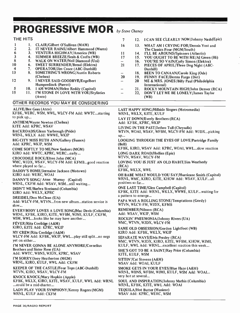# PROGRESSIVE MOR by Steve Cheney

| THE HITS                                   |                                                                                                                       | 7                                                           |           | 12. I CAN SEE CLEARLY NOW/Johnny Nash (Epic)                                                    |  |  |  |
|--------------------------------------------|-----------------------------------------------------------------------------------------------------------------------|-------------------------------------------------------------|-----------|-------------------------------------------------------------------------------------------------|--|--|--|
| 1.<br>$\mathbf{I}$<br>$\mathbf{2}$<br>2.   | CLAIR/Gilbert O'Sullivan (MAM)<br>IT NEVER RAINS/Albert Hammond (Mums)                                                | 16                                                          |           | 13. WHAT AM I CRYING FOR/Dennis Yost and<br>The Classics Four (MGM/South)                       |  |  |  |
| 6<br>3.                                    | VENTURA HIGHWAY/America (WB)                                                                                          | 11                                                          |           | 14. I'LL BE AROUND/Spinners (Atlantic)                                                          |  |  |  |
| $\mathbf{3}$<br>4.<br>$\bf 8$<br>5.        | <b>SUMMER BREEZE/Seals &amp; Crofts (WB)</b><br>WALK ON WATER/Neil Diamond (Uni)                                      | 17<br>-                                                     | 16.       | 15. YOU OUGHT TO BE WITH ME/Al Green (Hi)<br>YOU'RE SO VAIN/Carly Simon (Elektra)               |  |  |  |
| 10<br>6.                                   | <b>SWEET SURRENDER/Bread (Elektra)</b>                                                                                | 21                                                          | 17.       | PIECES OF APRIL/Three Dog Night (ABC-                                                           |  |  |  |
| 4<br>7.<br>13<br>8.                        | <b>OPERATOR/Jim Croce (ABC-Dunhill)</b><br><b>SOMETHING'S WRONG/Austin Roberts</b>                                    | $\qquad \qquad -$                                           | 18.       | Dunhill)<br><b>BEEN TO CANAAN/Carole King (Ode)</b>                                             |  |  |  |
|                                            | (Chelsea)                                                                                                             | 20                                                          |           | 19. FUNNY FACE/Donna Fargo (Dot)                                                                |  |  |  |
| 12                                         | 9. I NEVER SAID GOODBYE/Engelbert<br>Humperdinck (Parrot)                                                             | $\overline{\phantom{0}}$                                    | <b>20</b> | ME & MRS. JONES/Billy Paul (Philadelphia<br>International)                                      |  |  |  |
| 5                                          | 10. I AM WOMAN/Helen Reddy (Capitol)                                                                                  | $\qquad \qquad -$                                           | 21.       | ROCKY MOUNTAIN HIGH/John Denver (RCA)                                                           |  |  |  |
| 15                                         | 11. I'M STONE IN LOVE WITH YOU/Stylistics<br>(Avco)                                                                   | $\overline{\phantom{m}}$                                    | 22,       | DON'T LET ME BE LONELY/James Taylor<br>(WB)                                                     |  |  |  |
|                                            | OTHER RECORDS YOU MAY BE CONSIDERING                                                                                  |                                                             |           |                                                                                                 |  |  |  |
| <b>ALIVE/Bee Gees (Atco)</b><br>to pick up | KFBK, WERC, WSM, WWL, WLCY-FM Add: WWTCstarting                                                                       |                                                             |           | <b>LAST HAPPY SONG/Hillside Singers (Metromedia)</b><br>WRNL, WKLX, KITE, KULF                  |  |  |  |
|                                            | <b>ANTHEM/Wayne Newton (Chelsea)</b>                                                                                  |                                                             |           | LAY IT DOWN/Everly Brothers (RCA)<br>Add: KFBK, KPRC, WKIP                                      |  |  |  |
| KITE Add: KPRC, WSAV                       |                                                                                                                       |                                                             |           | LIVING IN THE PAST/Jethro Tull (Chrysalis)                                                      |  |  |  |
|                                            | BACKROADS/Glenn Yarbrough (Pride)<br>WRNL, WKLX Add: WWWE, WKIP                                                       | up                                                          |           | WTVN, WOAI, WSAV, WFBM, WLCY-FM Add: WJDXpicking                                                |  |  |  |
| Add: KPRC, WKIP, WSM                       | <b>BIG CITY MISS RUTH ANN/Gallery (Sussex)</b>                                                                        | (Bell)                                                      |           | <b>LOOKING THROUGH THE EYES OF LOVE/Partridge Family</b>                                        |  |  |  |
|                                            | <b>COME SOFTLY TO ME/New Seekers (MGM)</b>                                                                            | KFBK, KIRO, WSAV Add: KPRC, WOAI, WWLslow reaction          |           |                                                                                                 |  |  |  |
|                                            | KIRO Add: WWTC, KPRC, WERCearly<br><b>CROCODILE ROCK/Elton John (MCA)</b>                                             | <b>LONG DARK ROAD/Hollies (Epic)</b><br>WTVN, WSAV, WLCY-FM |           |                                                                                                 |  |  |  |
| where played so far                        | WMC, WJDX, WSAV, WLCY-FM Add: KFMBgood reaction                                                                       | LOVING YOU IS JUST AN OLD HABIT/Jim Weatherly<br>(RCA)      |           |                                                                                                 |  |  |  |
|                                            | DADDY'S HOME/Jermaine Jackson (Motown)<br>KIRO Add: WERC, WOAI                                                        | KFBK, WKLX, WWL                                             |           | OH BABE WHAT WOULD YOU SAY/Hurricane Smith (Capitol)                                            |  |  |  |
|                                            | DANNY'S SONG/ Anne Murray (Capitol)<br>WRNL, CKFM Add: WSAV, WSMstill waiting                                         | positives so far                                            |           | WRNL, WMC, KIRO, KITE, KHOW Add: WSAV, KULFall                                                  |  |  |  |
|                                            | DIDN'T WE/Barbra Streisand (Columbia)                                                                                 |                                                             |           | <b>ONE LAST TIME/Glen Campbell (Capitol)</b>                                                    |  |  |  |
|                                            | KIRO Add: WKLX, KPRC<br>DREIDEL/Don McClean (UA)                                                                      | a pattern to emerge                                         |           | KFBK, KITE Add: WRNL, WKLX, WWWE, KULFwaiting for                                               |  |  |  |
| slow                                       | Add: WLCY-FM, WTVNfron new albumstation service is                                                                    |                                                             |           | PAPA WAS A ROLLING STONE/Temptations (Gordy)<br>WTVN, WLCY-FM, WJDX, KFMB                       |  |  |  |
|                                            | EVERYBODY LOVES A LOVE SONG/Mac Davis (Columbia)<br>WRNL, KFBK, KIRO, KITE, WFBM, WJMI, KULF, CKFM,                   |                                                             |           | <b>REMEMBER/Nilsson (RCA)</b><br>Add: WSAV, WKIP, WSM                                           |  |  |  |
|                                            | WSM, WWLlooks like he may have another<br>FEVER/Rita Coolidge (A&M)                                                   |                                                             |           | ROCKIN' PNEUMONIA/Johnny Rivers (UA)<br>WMC, WTVN, WJDX, WLCY-FM                                |  |  |  |
|                                            | KIRO, KITE Add: KPRC, WKIP                                                                                            |                                                             |           | SAME OLD OBSESSION/Gordon Lightfoot (WB)                                                        |  |  |  |
|                                            | MY CREW/Rita Coolidge (A&M)<br>WLCY-FM Add: KFBK, WKIP, WWLplay still splitno negs                                    |                                                             |           | KIRO Add: KFBK, WKLX, WKIP<br><b>SEPARATE WAYS/Elvis Presley (RCA)</b>                          |  |  |  |
| yet on either                              |                                                                                                                       |                                                             |           | WMC, WTVN, WJDX, KIRO, KITE, WFBM, KHOW, WJMI,                                                  |  |  |  |
|                                            | I'M NEVER GONNA BE ALONE ANYMORE/Cornelius<br>Brothers and Sister Rose (UA)                                           |                                                             |           | KULF, WWL Add: WRNLexcellent reaction this week<br>SHE'S GOT TO BE A SAINT/Ray Price (Columbia) |  |  |  |
|                                            | Add: WWTC, WBNS, WJDX, KPRC, WSAV<br>I'M SORRY/Joey Heatherton (MGM)                                                  | KITE, KULF, WSM                                             |           |                                                                                                 |  |  |  |
|                                            | WRNL, KIRO, KULF, WWL Add: CKFM                                                                                       |                                                             |           | SITTIN'/Cat Stevens (A&M)<br>WSAV Add: WOAI, KULF                                               |  |  |  |
|                                            | KEEPER OF THE CASTLE/Four Tops (ABC-Dunhill)<br>WTVN, KIRO, WSAV, WLCY-FM                                             |                                                             |           | SMOKE GETS IN YOUR EYES/Blue Haze (A&M)<br>WRNL, WBNS, WFBM, WJMI, KULF, WSM Add: WOAI          |  |  |  |
|                                            | <b>KNOCK KNOCK/Mary Hopkin (Apple)</b><br>KFBK, WKLX, KIRO, KITE, WSAV, KULF, WWL Add: WRNL<br>could be a mid-charter | very hot at several                                         |           | SOUL AND INSPIRATION/Johnny Mathis (Columbia)<br>WRNL, KFBK, KITE, WWL Add: WOAI                |  |  |  |
|                                            | LADY PLAY YOUR SYMPHONY/Kenny Rogers (MGM)<br>WRNL, KULF Add: CKFM                                                    |                                                             |           | TEQUILA/Hot Butter (Musicor)<br>WSAV Add: KPRC, WERC, WSM                                       |  |  |  |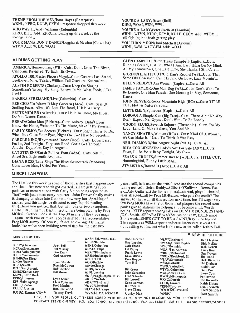# THEME FROM THE MEN /Isaac Hayes (Enterprise) WRNL, KPRC, KULF, CKFM...response dropped this week...

WHO WAS IT/Andy Williams (Columbia) KIRO, KITE Add: KPRC...showing up this week as the stronger side...

YOUR MAMA DON'T DANCE/Loggins & Messina (Columbia) WTVN Add: WJDX, WOAI

ALBUMS GETTING PLAY

AMERICA /Homecoming (WB)...Cuts: Don't Cross The River, California Revisited, To Each His Own...

APOLLO 100/Master Pieces (Mega)...Cuts: Custer's Last Stand, Beethoven Nine, Telstar, William Tell Overture, Nutrocker... AUSTIN ROBERTS (Chelsea)...Cuts: Keep On Singing,

Something's Wrong, My Song, Believe In Me, What Fools, I Can Feel It...

BARBRA STREISAND/Live (Columbia)...Cuts: All

BEE GEES/To Whom It May Concern (Atco)...Cuts: Seas Of Smiling Faces, Alive, We Lost The Road, I Held A Party...

BETTE MIDLER (Atlantic)...Cuts: Hello In There, My Blues, Do You Wanna Dance...

BREAD/Guitar Man (Elektra)...Cuts: Aubrey, Didn't Even Know Her Name, Welcome To The Music, Make It By Yourself CARLY SIMON/No Secrets (Elektra)...Cuts: Right Thing To Do,

When You Close Your Eyes, Night Owl, We Have No Secrets...

CAROLE KING/Rhymes and Reason (Ode)...Cuts: Down Easy, Feeling Sad Tonight, Ferguson Road, Gotta Get Through Another Day,.First Day In August...

CAT STEVENS/Catch Bull At Four (A&M)...Cuts: Sittin', Angel Sea, Eighteenth Avenue...

DIANA ROSS/Lady Sings The Blues Soundtrack (Motown)... Cuts: Lover Man, I Cried For You...

MISCELLANEOUS

The Hits list this week has one of those rarities that happens now and then...five new records got charted...all are getting super and then...tive new records got charted...all are getting super<br>positives at most stations with Carly Simon being reported as "go...Arlo Guthrie...(the list is endless)...started, played, charted<br>"hot" with just about ever it...hanging on since late October...now very hot. Speaking of rarities (and this might be directed to any Top-40 reading rarities (and this might be directed to any Top-40 reading<br>this)...have you noticed that, but with one or two exceptions, all the hits in the "In Depth" section are being playing by Prog MORs?...further...look at the Top 30 in any of the trade mags ...again...with two or three records deleted it's a representative Prog MOR survey. Of course, it's not an overnight thing...it looks like we've been building toward this for the past two

### MOR REPORTERS

KCHY /Cheyenne KCRA/Sacramento KDEF /Albuquerque KFBK /Sacramento KFMB/San Diego KHOW/Denver KIRO/Seattle KITE/San Antonio KMBZ/Kansas City KMYO/Little Rock **KPRC/Houston** KPSI/Palm Springs KREL/Corona KULF /Houston KMBZ/Kansas City $\bullet$ 

Jack Bell Hal Murray Dan Evans Carl Andrews Lynn Woods Ross McGowan Bob Sterline Bill Morse Lynn Sauer Chris Coleman Fred Manfra Ron Sherwood

WBEN/Buffalo WBNS/Columbus WDAE/Tampa WERC/Birmingham WFBM /Indianapolis WFDF/Flint WGR/Buffalo WIND/Chicago WJDX/Jackson Bill Crews<br>WJIM/Lansing John Seba WKIP/Poughkeepsie, N.Y. Fred Schae<br>WKLX/Norfolk Bill Lowell WKLX/Norfolk Bill Lowell<br>
WKRC/Cincinnati Gene Warman WKRC/Cincinnati Gene Warm<br>WKYC/Cleveland Bill Witkins WKYC/Cleveland Bill Witkins<br>WLCY-FM/Tampa Steve Cheny WLCY-FM/Tampa

WASH-FM/Wash., D.C.

John Sebastian<br>Fred Schaefer Ed Ripley Frank Lewis Dave Murray Dive Hoppe Tom Hill

Bob Duckman Kay Lapping Jack Evans

WLW/Cincinnati Dan Clayton<br>WMAX/Grand Rapids Dick McKay WMAX/Grand Rapids Dick McKay<br>WMC/Memphis Dack Parnell WMC/Memphis Jack Parnel<br>WOAI/San Antonio Larry Keat WOAI/San Antonio Larry Keat<br>WRNL/Richmond Gus Travers WRNL/Richmond Gus Travers WROK /Rockford, Ill. Jim Wood WSAV /Savannah Dick Richards WSM/Nashville Hal Durhan<br>WSPR/Springfield Budd Clain WSPR/Springfield Budd Clain<br>WTVN/Columbus Dave Parr WTVN/Columbus<br>WWL/New Orleans Larry Conti WWL/New Orleans Larry Continues<br>
WWTC/Minneapolis Pat Devine WWTC/Minneapolis Pat Devine<br>WXYZ/Detroit Joe Bacarella WXYZ/Detroit CFTR/Toronto Keith Elshaw<br>CKFM/Toronto Dan Chevrette CKFM/Toronto<br>
WWWE/Cleveland

Pan Chevrette

Pred Sanders WWWE/Cleveland<br>WNBC

Danny Davis WVMI-FM/Jackson $\bullet$  Corky May HEY, ALL YOU PEOPLE OUT THERE BORED WITH REALITY, WHY NOT BECOME AN MOR REPORTER? CONTACT STEVE CHENEY, P.O. BOX 10,000, ST. PETERSBURG, FLA.,33738,(813) 525-1111. RADIO REPORT/PAGE 17

YOU'RE A LADY /Dawn (Bell) KIRO, WOAI, WSM, WWL YOU'RE A LADY/Peter Skellern (London) WRNL, WTVN, KIRO, KFMB, KULF, CKCM Add: WFBM... still fighting but both getting play... YOU TURN MEON/Joni Mitchell (Asylum) WRNL, WSM, WLCY -FM Add: WOAI

GLEN CAMPBELL /Glen Travis Campbell (Capitol)...Cuts: Running Scared, Just For What I Am, Last Thing On My Mind, All My Tomorrows, One Last Time, She Thinks I Still Care... GORDON LIGHTFOOT /Old Dan's Record ( WB)...Cuts: That

Same Old Obsession, Can't Depend On Love, Lazy Mornin'...

HELEN REDDY/I Am Woman (Capitol)...Cuts: All

JAMES TAYLOR/One Man Dog (WB)...Cuts: Don't Want To Be Lonely, One Man Parade, One Morning In May, Someone, Dance.

JOHN DENVER/Rocky Mountain High (RCA)...Cuts: TITLE CUT, Mother Nature's Son...

LETTERMEN/Spinaway (Capitol)...Cuts: All

LOBO/Of A Simple Man (Big Tree)...Cuts: There Ain't No Way, Don't Expect Me, Gypsy, Don't Want To Be Lonely...

MOODY BLUES/Seventh Sojourn (Threshold)...Cuts: For My Lady, Land Of Make Believe, You And Me...

NANCY SINATRA/Woman (RCA)...Cuts: Kind Of A Woman, We Can Make lt, I Used To Think It Was Easy...

NEIL DIAMOND/Hot August Night (MCA)...Cuts: All

RITA COOLIDGE/The Lady's Not For Sale (A&M)...Cuts: Fever, I'll Be Your Baby Tonight, My Crew...

SEALS & CROFTS/Summer Breeze (WB)...Cuts: TITLE CUT, Hummingbird, Funny Little Man...

STYLISTICS /Round II (Avco)...Cuts: All

years...still, is it us...or the artist? And are the record companies taking notice ?...Helen Reddy...Gilbert O'Sullivan...Donna Far - go...Arlo Guthrie...(the list is endless)...started, played, charted, sales affected...all by Prog MORs...so, who gets the credit? The answer to that will fill this section next time, but I'll wager very few Prog MORs have any of those neat plaques the record companies give to stations for h noting...KITE reports strong sales on DON'T MISUNDERSTAND /O.C. Smith...SEPARATE WAYS/Elvis hot at WJDX...Number 3 this week...SHE'S GOT TO BE A SAINT /Ray Price Number 2 in requests at WSM...reports indicate listeners at several stations calling to find out who is this new artist called Jethro Tull.

### **ONEW REPORTERS**

Don Smith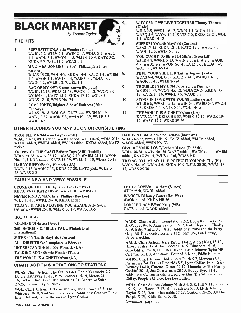# **BLACK MARKET AND S.**

by Yvónne Taylor

# THE HITS

- 1. SUPERSTITION /Stevie Wonder (Tamla) WWRL 2-2, WJLV 5-1, WWIN 24-7, WDIA X-2, WABQ<br>4.4 WADK 3-1, WVON 11-5, WMRM 30.9, KATZ 3.2 7. 4-4, WADK 3-1, WVON 11-5, WMBM 30-9, KATZ 3-2, KKDA 9-7, WOL 11-2, WDAS 1-1
- 2. ME & MRS. JONES/Billy Paul (Philadelphia International) WDAS 18-28, WOL 4-9, KKDA 14-4, KATZ 1-1, WMBM 8. 1-6, WVON 1-1, WAOK 1-4, WABQ 1-1, WDIA 1-1, WWIN 4-2, WVLB 1-2, WWRL 1-1
- 3. BAG OF MY OWN /James Brown (Polydor) WWRL 12 -16, WDIA 21 -18, WAOK 11 -18, WVON 9-6, WMBM 4-1, KATZ 13-9, KKDA 17-16, WOL 8-8, WDAS 12 -10, WWIN No. 25
- 4. LOVE JONES/Brighter Side of Darkness (20th Century) WDAS 19-18, WOL 0-6, KATZ 4-4, WVON No. 9, 11. WABQ 0-37, WAOK 5-3, WWIN No. 39, WVLB 3-3, WWRL 4-4

# OTHER RECORDS YOU MAY BE ON OR CONSIDERING

T ROUBLE MAN/Marvin Gaye (Tamla) WDAS 50 -20, WOL added, WWRL added, WJLB 0 -26, WDIA X -14, WDAS 47 -22, WWRL HB -19, KATZ added, WMBM added, WAOK added, WMBM added, WVON added, KKDA added, KATZ WAOK added, WWIN No. 33 pick -21

KEEPER OF THE CASTLE/Four Tops (ABC-Dunhill) WDIA 24-28, WWIN 26-17 WABQ 9-10, WMBM 25-11, WVON No. 11, KKDA added, KATZ 18 -19, WVLK 14 -10, WDAS 20 -19 HARRY HIPPY /Bobby Womack (UA)

WWIN 0-13, WAOK 7-13, KKDA 37-28, KATZ pick, WJLB 0-28, WDAS 2-2

# FAIRLY NEW AND VERY POSSIBLE

CRUMB OF THE TABLE /Laura Lee (Hot Wax) KKDA 39-33, KATZ HB-28, WABQ HB, WMBM added NEVER FIND A MAN/Ester Phillips (Kee Lee) WJLB 13-13, WWRL 24-18, KKDA added TODAY I STARTED LOVING YOU AGAIN/Betty Swan (Atlantic) WWIN 25-18, WMBM 32-19, WAOK 10-9

# HOT ALBUMS

ROUND II /Stylistics (Avco) 360 DEGREES OF BILLY PAUL (Philadelphia International) SUPERFLY /Curtis Mayfield (Curtom) ALL DIRECTIONS/Temptations (Gordy) UNDERSTANDING /Bobby Womack (UA) TALKING BOOK /Stevie Wonder (Tamla) THE WORLD IS A GHETTO/War (UA)

# CHART ACTION & ADDITIONS TO STATIONS

WDAS: Chart Action: The Futures 4-3, Eddie Kendricks 7-7, Donny Hathaway 13 -12, Isley Brothers 15 -14, Meters 21- 16, Jackson Eve 26 -23, Ben Aiken 24-24, Executive Suite 27-25, Johnnie Taylor 28 -27.

WOL: Chart Action: Betty Wright 3-3, The Futures 13-5, The Whispers 10-10, Soul Searchers 16-16, Additions: Creative Funk, Brian Holland, James Brown and Lynn Collins.

DADDY'S HOME/Jermaine Jackson (Motown)

12, WABQ 15-5, WDAS 29-26

GIVE ME YOUR LOVE/Barbara Mason (Buddah) WDIA 30-24, WWIN No. 34, WABQ added, WAOK added, WMBM added, KATZ 24-14, WJLB added, WDAS 9-8

WHY CAN'T WE LIVE TOGETHER/Timmy Thomas

WSAS 17-15, KKDA 12-11, KATZ 12-5, WABQ 3-3,

YOU OUGHT TO BE WITH ME/AI Green (Hi) WJLB 4-4, WWRL 5-13, WWIN 8-5, WDIA 8-8, WAOK 4 -7, WABQ 2 -2, WVON No. 4, KATZ 2 -3, KKDA 3 -2,

I'll BE YOUR SHELTER/Luther Ingram (Koko) WDAS 6-4, WOL 0-13, KATZ 20-13, WABQ 10-17,

WMBM 11-7, WVON No. 12, WDIA 23-19, KKDA 16-

WJLB 6-6, WWRL 15-15, WWIN 6-4, WABQ 6-7, WVON

KATZ 22-17, KKDA HB-35, WMBM 37-16, WAOK 19-

WJLB 2-5, WWRL 16-12, WWIN 1-1, WDIA 11-7, WABQ 5 -6, WVON 10 -7, KATZ 5 -6, KKDA 28 -24, WOL

(Glade)

<sup>1</sup>-1, WDAS 14-13

6. SUPERFLY /Curtis Mayfield (Curtom)

WAOK 12-6, WWIN No. 27

WAOK 23-11, WJLB 26-24

9. TROUBLE IN MY HOME/Joe Simon (Spring)

15, KATZ 17-16, WWRL 7-5, WAOK 8-8 10. STONE IN LOVE WITH YOU/Stylistics (Avco)

> 4 -3, KKDA 6-6, KATZ 6 -11, WOL 14 -15 THE WORLD IS A GHETTO/War (UA)

WOL 5-7, WDAS 8-6

TRYING TO LIVE MY LIFE WITHOUT YOU/Otis Clay (Hi) WVON No. 10, WDIA 3-6, KKDA 10-9, WJLB 20-20, WWRL 17-17, WDAS 25 -30

LET US LOVE/Bill Withers (Sussex) WDIA pick, WWRL added INNOCENT /Honey Cones (Hot Wax) WAOK added, KKDA HB-36 DON'T BURN ME/Paul Kelly (WB) KATZ added, WAOK added

WAOK: Chart Action: Temptations 2-2, Eddie Kendricks 15-5, O'Jays 18 -16, Anne Sayton 22 -17, Faith Hope and Charity X-19, Baby Washington X-20, Additions: Rube and the Party Ging, All The People, Tommy Tate, Sam Dee, Lee Dorsey, Barbara Acklin.

WABO: Chart Action: Jerry Butler 14-12, Albert King 18-13, Harvey Scales 16-14, Joe Cocker BH-15, Rimshots 19-16, Gary Glitter 25 -18, Chi Lites HB -35, Little Johnnie Tylor HB, Carl Carlton HB. Additions: Four of A Kind, Eddie Holman.

WMBM: Chart Action: Undisputed Truth 5-2, Moments 6-3, Persuaders 7-4, Detroit Emeralds 8-5, Lynn Collins 16-8, Dawn Downey 14-10, Clarence Carter 22 -12, Litnonies & The Family Cookin' 20 -13, Joe Quarterman 28 -15, Bobby-Byrd 31 -18. Additions: California Girl, Barbara Acklin, The Whispers, Bo Didley, People's Choice, Dee Dee Butler.

WDIA: Chart Action: Johnny Nash 5-4, Z.Z. Hill X-11, Spinners 15-15, Lou Rawls 17-17, Millie Jackson X-20, Little Johnny Taylor X -22, Detroit Emeralds 27 -23, Ovations 28 -25, All The People X-29, Eddie Banks X-30.

Continued page 22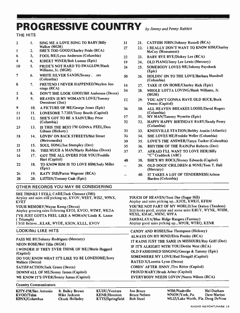# PROGRESSIVE COUNTRY by Jimmy and Penny Rabbitt

# THE HITS

| $\overline{2}$ | 1.              | SING ME A LOVE SONG TO BABY/Billy                          | 31                       | 21.        | <b>CATFISH JOHN/Johnny Russell (RCA)</b>              |
|----------------|-----------------|------------------------------------------------------------|--------------------------|------------|-------------------------------------------------------|
|                | 2.              | Walker (MGM)<br>SHE'S TOO GOOD/Charley Pride (RCA)         | 27                       | 22.        | I REALLY DON'T WANT TO KNOW HIM/Charley               |
| 1              |                 |                                                            |                          |            | McCoy (Monument)                                      |
| 6              | 3.              | FOOL ME/Lynn Anderson (Columbia)                           | 22                       | 23.        | <b>BABY BYE BYE/Dickey Lee (RCA)</b>                  |
| 4              | 4,              | KIBEKT WINEB/Bob Luman (Epic)                              | 19                       | 24,        | OLD PIANO/Jerry Lee Lewis (Mercury)                   |
| 10             | 5 <sub>1</sub>  | PRIDE'S NOT HARD TO SWALLOW/Hank<br>Williams, Jr. (MGM)    | 24                       | 25.        | SOMEBODY LOVES ME/Johnny Paycheck<br>(Epic)           |
| $\overline{7}$ | 6.              | WHITE SILVER SANDS/Sonny. aes<br>(Columbia)                | 30                       | 26.        | HOLDIN' ON TO THE LOVE/Barbara Mandrell<br>(Columbia) |
| 8              | 7.              | PRETEND I NEVER HAPPENED/Waylon Jen-                       | 14                       | 27.        | <b>TAKE IT ON HOME/Charley Rich (Epic)</b>            |
|                |                 | nings (RCA)                                                | 34                       | 28.        | WHOLE LOTTA LOVING/Hank Williams, Jr.                 |
| 3              | 8.              | DON'T SHE LOOK GOOD/Bill Anderson (Decca)                  |                          |            | (MGM)                                                 |
| 5              | 9.              | <b>HEAVEN IS MY WOMAN'S LOVE/Tommy</b><br>Overstreet (Dot) | 12                       | 29.        | YOU AIN'T GONNA HAVE OLD BUCK/Buck<br>Owens (Capitol) |
| 9              | 10.             | A PICTURE OF ME/George Jones (Epic)                        | 36                       | 30.        | ALL HEAVEN BREAKES LOOSE/David Rogers                 |
| 11             | 11.             | LONESOME 7-7203/Tony Booth (Capitol)                       |                          |            | (Columbia)                                            |
| 13             | 12.             | SHE'S GOT TO BE A SAINT/Ray Price                          | 17                       | <b>31.</b> | MY MAN/Tammy Wynette (Epic)                           |
|                |                 | (Columbia)                                                 | 32                       | 32.        | HAPPY HAPPY BIRTHDAY BABY/Sandy Posey                 |
| 23             |                 | 13. IS THIS THE BEST I'M GONNA FEEL/Don                    |                          |            | (Columbia)                                            |
|                |                 | Gibson (Hickory)                                           | 33                       | 33.        | <b>KNOXVILLE STATION/Bobby Austin (Atlantic)</b>      |
| 18             | 14.             | <b>LOVIN' ON BACK STREETS/Mel Street</b>                   | 38                       | 34.        | SHE LOVES ME/Freddie Weller (Columbia)                |
|                |                 | (Metromedia)                                               | 39                       | 35.        | LOVE'S THE ANSWER/Tanya Tucker (Columbia)             |
| 21             | 15 <sub>1</sub> | SOUL SONG/Joe Stampley (Dot)                               | 35                       | 36.        | RHYTHM OF THE RAIN/Pat Roberts (Dot)                  |
| 15             | 16.             | THIS MUCH A MAN/Marty Robbins (Decca)                      | 37                       | 37.        | AFRAID I'LL WANT TO LOVE HER/Billy                    |
| 16             | 17.             | <b>GOT THE ALL OVERS FOR YOU/Freddie</b>                   |                          |            | "C" Craddock (ABC)                                    |
|                |                 | Hart (Capitol)                                             | 40                       | <b>38.</b> | SHE'S MY ROCK/Stoney Edwards (Capitol)                |
| 22             | 18.             | TO KNOW HIM IS TO LOVE HIM/Jody Miller<br>(Epic)           | $\overline{\phantom{0}}$ | 39.        | OLD DOGS' CHILDREN & WINE/Tom T. Hall<br>(Mercury)    |
| $25 -$         | 19.             | <b>KATY DID/Porter Wagoner (RCA)</b>                       |                          | 40.        | IT TAKES A LOT OF TENDERNESS/Arlene                   |
| 28             | 20.             | <b>LISTEN/Tommy Cash (Epic)</b>                            |                          |            | Harden (Columbia)                                     |

# OTHER RECORDS YOU MAY BE CONSIDERING

| SHE THINKS I STILL CARE/Jack Clement (JMI)<br>Airplay and sales still picking up, KVOV, WEET, WISZ, WPNX,<br><b>KVET</b><br>YOUR MEMORY/Wayne Kemp (Decca)<br>Airplay growing sales following KFDI, KVOO, WTMT, WKDA<br>I'VE JUST GOTTA FEEL LIKE A WOMAN/Linda K. Lance<br>(Triumph)<br>I Still BelieveKLAK, WYDE, KSON, KLLL, KVOV | <b>TOUCH OF HEAVEN/Toni Dae (Sugar Hill)</b><br>Airplay and sales picking upKJOE, KWKH, KFRM<br>YOU'RE NOT PART OF MY WORLD/Joe Deaton (Tandem)<br>Still looks good, airplay and some sales KBUY, WYNK, WHIM,<br>WEXL, KMAC, WMNI, WPFA<br><b>JAMBALAYA/Blue Ridge Rangers (Fantasy)</b><br>Airplay good sales picking upWPOR, WTRQ, KENR                                        |
|--------------------------------------------------------------------------------------------------------------------------------------------------------------------------------------------------------------------------------------------------------------------------------------------------------------------------------------|----------------------------------------------------------------------------------------------------------------------------------------------------------------------------------------------------------------------------------------------------------------------------------------------------------------------------------------------------------------------------------|
| <b>LOOKING LIKE HITS</b>                                                                                                                                                                                                                                                                                                             | CANDY AND ROSES/Sue Thompson (Hickory)                                                                                                                                                                                                                                                                                                                                           |
| PASS ME BY/Johnny Rodriguez (Mercury)<br><b>NEON ROSE/Mel Tillis (MGM)</b><br>I WONDER IF THEY EVER THINK OF ME//Merle Haggard<br>(Capitol)<br>DO YOU KNOW WHAT IT'S LIKE TO BE LONESOME/Jerry<br>Wallace (Decca)<br>SATISFACTION/Jack Green (Decca)<br>DOWNFALL OF ME/Sonny James (Capitol)                                         | ALWAYS ON MY MIND/Elvis Presley (RCA)<br>IT RAINS JUST THE SAME IN MISSOURI/Ray Griff (Dot)<br>IF IT'S ALRIGHT WITH YOU/Dottie West (RCA)<br>OLD FASHIONED SINGING/George & Tammy (Epic)<br><b>SOMEWHERE MY LOVE/Red Steagall (Capitol)</b><br><b>RATED X/Loretta Lynn (Decca)</b><br><b>COMIN' AFTER JINNY /Tex Ritter (Capitol)</b><br><b>PROUD MARY/Brush Arbor (Capitol)</b> |
| WE KNOW IT'S OVER/Sonny James (Capitol)                                                                                                                                                                                                                                                                                              | <b>EVERYBODY NEEDS LOVIN'/Norro Wilson (RCA)</b>                                                                                                                                                                                                                                                                                                                                 |
|                                                                                                                                                                                                                                                                                                                                      |                                                                                                                                                                                                                                                                                                                                                                                  |

# Country Communicators

| KITY-FM/San Antonio | B. |
|---------------------|----|
| KVOO/Tulsa          | Мi |
| KPNX/Columbus       | Ch |

KUDU/Ventura KENR/Houston KTTS/Springfield

Jon Bruce Bruce Nelson Bob Steel

WSM/Nashville Hal Durham<br>WNOW/York, Pa. Dave Marino WNOW/York, Pa. WLIZ/Lake Worth, Fla. Doug DeVoss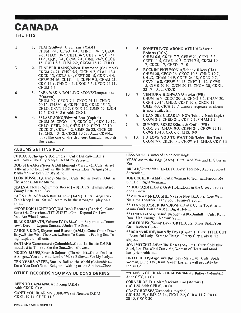# CANADA

THE HITS

- <sup>l</sup>1. CLAIR /Gilbert O'Sullivan (MAM) CHUM 2-1, CFGO 4-1, CHNO 18-17, CKOC 7 -5, CHAM 10-7, CKFH 4-2, CKLG 3 -2, CKXL 11 -5, CKPT 3 -1, CKWS 2 -1, CJME 24 -9, CKCK 15, CJCH 3-3, CHSJ 2-2, CKGM 15-12, CHLO
- 3 2. IT NEVER RAINS /Albert Hammond (Columbia) CKGM 24-21, CHSJ 5-5, CJCH 4-2, CJME 12-4, CKCK 13, CKWS 6-4, CKPT 20-15, CKXL 4-4, CFRW 24-16, CKLG 1-1, CKFH 9-5, CHAM 21, CKY 15 -9, CHNO 4-1, CKOC 5 -3, CFGO 25 -11, **CHUM 5-5**
- 6 3. PAPA WAS A ROLLING STONE/Temptations (Motown) CHUM 9-2, CFGO 7-4, CKOC 24-14, CHNO 20-12, CHAM 16, CKFH 10-8, CKLG 15-13, CHLO, CKVN 13-5, CKCK 12, CJME-29, CJCH 12-6, CKGM 8-6 Add: CKXL
- 9 4. \*\*LAST SONG/Edward Bear (Capitol) CHUM-26, CFGO 11-7, CKOC 8-1, CKY 19-12, CHLO, CFRW 9-6, CHED 13-9, CKXL 22-10, CKCK 21, CKWS 4-2, CJME 26 -23, CJCH 28- 18, CHSJ 13 -12, CKGM 30-27, Add: CKVN... looks like one of the strongest Canadian records 8 this year...

# ALBUMS GETTING PLAY

CHICAGO/Chicago V (Columbia)...Cuts: Dialogue...All is Well...While The City Sleeps...A Hit by Varese...

ROD STEWART /Never A Dull Moment (Mercury)...Cuts: Angel is the new single...Twistin' the Night Away...Los Paraguayos... Mama You've Been On My Mind...

LEON RUSSELL/Carney (Shelter)...Cuts: Roller Derby...Out In The Woods...Magic Mirror...

SEALS & CROFTS/Summer Breeze (WB)...Cuts: Hummingbird... Funny Little Man...Say...

CAT STEVENS/Catch Bull At Four (A&M)...Cuts : Angel Sea... Can't Keep It In...Sittin'...seem to be the strongest...play on all cuts...

\* \*GORDON LIGHTFOOT /Old Dan's Records (Reprise)...Cuts: Same Old Obsession...TITLE CUT...Can't Depend On Love... You Are What I Am...

BLACK SABBATH/Volume IV (WB)...Cuts: Supernaut...Tomorrow's Dream...Laguna Sunrise...Under The Sun...

CAROLE KING/Rhymes and Reason (A&M)...Cuts: Come Down Easy...Bitter With The Sweet...Been To Canaan...Feeling Sad Tonight...play on all cuts...

SANTANA /Caravanserai (Columbia)...Cuts: La Fuente Del Ritmo...Just in Time to See the Sun...Stoneflower...

MOODY BLUES/Seventh Sojourn (Threshold)...Cuts: I'm Just A Singer...You and Me...Land of Make Believe...For My Lady...

TEN YEARS AFTER /Rock & Roll to the World (Columbia)... Cuts: You Can't Win...Religion...Waiting at the Station...Choo

# OTHER RECORDS YOU MAY BE CONSIDERING

BEEN TO CANAAN/Carole King (A&M) Add: CKCK, CJME CAN'T YOU HEAR MY SONG/Wayne Newton (RCA) CKXL 19 -14, CHED 11 -8

- 5 5. SOMETHING'S WRONG WITH ME /Austin Roberts (RCA) CHUM -6.6, CKFH 7-7, CFRW -21, CKXL 3 -3, CKPT 11-5, CJME 10-5, CJCH 7-5, CKGM 19-17, CKCK 17, CHED 17-10
	- 6. ROCKIN' PNEUMONIA/Johnny Rivers (UA) CHUM-20, CFGO-26, CKOC 10-8, CHNO 19-7, CHLO, CHAM 14-9, CKFH 24-18, CKLG 9-7, CKVN 16 -8, CFRW 21 -13, CKPT 14 -12, CKWS 15, CJME 20 -10, CJCH 20 -17, CKGM 30, CKXL 23 -17 Add: CKCK
- 10 7. VENTURA HIGHWAY/America (WB) CHUM 16 -9, CKOC 20 -15, CHNO 3 -2, CHAM 20, CKFH 20-14, CHLO, CKPT 10-8, CKCK 11, CJME 4-3, CJCH 11-7 ...more response as album is now available...
- 7 8. I CAN SEE CLEARLY NOW/Johnny Nash (Epic) CKGM 2-1, CHED 2-1, CKY 5-1, CHAM 2-1
- 2 9. SUMMER BREEZE /Seals & Crofts (WB) CKOC 2-2, CHAM 8-3, CKFH 2-1, CFRW 22-15, CKWS 10-10, CKCK 6, CHSJ 9-9
- 10. I'D LOVE YOU TO WANT ME/Lobo (Big Tree) CKGM 7-7, CKCK 1-1, CFRW 2-1, CHLO, CKY 3-3

Choo Mama is rumored to be new single...

YES/Close to the Edge (Atco)...Cuts: And You and I...Siberian Kartu...

BREAD/Guitar Man (Elektra)...Cuts: Tecelote, Aubrey, Sweet Surrender...

JOE COCKER (A&M)...Cuts: Woman to Woman...Pardon Me Sir...Do Right Woman...

\*\*HUD (A&M)...Cuts: Grab Hold...Lost in the Crowd...Some-<br>one I Know...

\* \*MURRAY McLAUGHLIN (True North)...Cuts: Lose We... No Time Together...Lady Soul, Farmer's Song...

\* \*HANS STAYMER BAND(GSF)...Cuts: Come Together... Mama Can't You Hear Me...Dig A Hole...

\* \*JAMES GANG/Passin' Through (ABC -Dunhill)...Cuts: Run, Run...Had Enough...Nothin' Yet...

LIGHTHOUSE/Sunny Days (GRT)...Cuts: Silver Bird...You Girl...Broken Guitar...

\* \*BOB McBRIDE /Butterfly Days (Capitol)...Cuts: TITLE CUT ...Beautiful Lady...Strange Things...Pretty City Lady is the single...

JONI MITCHELL/For The Roses (Asylum)...Cuts: Cold Blue Steel, Let The Wind Carry Me, Woman of Heart and Mind has lyric problem...

URIAH HEEP/Magician's Birthday (Mercury)...Cuts: Spider Woman, Blind Eye, Rain, Sweet Lorraine will probably be the single...

\*\* CAN'T YOU HEAR THE MUSIC/Marty Butler (Columbia) Add: CKY, CKCK

CORNER OF THE SKY /Jackson Five (Motown) CJCH 28 Add: CFRW, CKCK

CRAZY HORSES/Osmonds (Polydor) CJCH 25 -19, CJME 23 -14, CKXL 2 -2, CFRW 11 -7, CKLG 20 -15, CKCK 30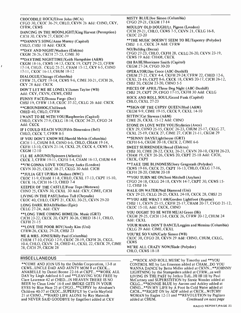CROCODILE ROCK /Elton John (MCA) CFGO 30, CKOC 36 -29, CHLO, CKVN 26 Add: CHNO, CKY, CFRW, CKWS DANCING IN THE MOONLIGHT/King Harvest (Perception) CJCH 30, CKVN 27, CKOC-39 \* \*DANNY'S SONG /Anne Murray (Capitol) CHLO, CHSJ 10 Add: CKCK \* \*DAY AND N1GHT /Wackers (Elektra) CKGM 28 -26, CKCH 27 -23, CJME 30 \* \*DAYTIME NIGHTTIME /Keith Hampshire (A &M) CKGM 18 -16, CKWS 14 -13, CKCK 19, CKPT 29 -23, CFRW 17-14, CHLO, CKLG 25-21, CHAM 15-12, CKY 6-5, CHNO 17-11, CKOC 16-13, CHUM 18-12 DIALOGUE/Chicago (Columbia) CFRW 25, CKPT 19-14, CKWS 9-6, CJME 30-21, CJCH 26, CKY 28 Add: CKCK DON'T LET ME BE LONELY /James Taylor (WB) Add: CKY, CKVN, CKWS, CHSJ FUNNY FACE/Donna Fargo (Dot) CHSJ 19, CFRW I3 -8, CKOC 37 -32, CKLG 26 Add: CKCK \* \*GROUNDHOG /Chilliwack CHED 40, CHLO, CFRW <sup>1</sup>WANT TO BE WITH YOU /Raspberries (Capitol) CHLO, CKVN 27 -9, CKLG 18 -14, CKOC 34-25, CFGO 24 Add: CKCK IF I COULD REACH YOU/Fifth Dimension (Bell) CHLO, CKCK 7, CFRW 8-5 IF YOU DON'T KNOW ME /Harold Melvin (Columbia) CJCH 1 -1, CHUM 8 -8, CHNO 6 -6, CHLO, CHAM 19 -14, CKFH 13 -10, CKVN 2I -14, CKXL 29, CKCK 4, CKWS 14, CKGM 12-10 I'LL BE AROUND /Spinners (Atlantic) CKCK 3, CFRW 19-11, CKFH 5 -4, CHAM 16 -13, CHUM 4 -4 \* \*I'M GONNA LOVE YOU /Terry Jacks (London) CKVN 30 -25, CKOC 38 -27, CKLG 30 Add: CJCH \* \*JULIA GET UP /Rich Dodson (MWC) CKOC 11 -9, CHAM 11 -8, CHLO, CKXL 17 -13, CKPT 15 -10, CKCK 16, CJCH 16-13, CHED 7-4 KEEPER OF THE CASTLE /Four Tops (Motown) CHNO 25, CKVN 30, CKXL 30 Add: CKY, CJME, CJCH LIVING IN THE PAST/Jethro Tull (Chrysalis) CKOC 40, CHLO, CKPT 21, CKXL 30 -25, CKVN 29 -20 LONG DARK ROAD/Hollies (Epic) CKLG 27 -24, Add: CKY \* \*LONG TIME COMING HOME /Dr. Music (GRT) CJCH 23 -22, CKCK 20, CKPT 30 -26, CHED 18 -11, CHLO, CKFH 21 -15 \* \*LOVE THE POOR BOY /Andy Kim (Uni) CFRW -26, CKXL 29 -28, CHSJ 23 ME & MRS. JONES/Billy Paul (Columbia) CHUM 17 -10, CFGO 12 -9, CKOC 28 -19, CKFH 26, CKGL 10 -4, CHLO, CKVN 24, CHED 41, CKXL 22, CKCK 29, CJME 28, CJCH 29, CKGM 28

# MISCELLANEOUS

\* \*COME AND JOIN US by the Dublin Corporation, 13 -8 at CKWS...UNCLE DAD AND AUNTY MOM 8 at CKCK... ANABELLE by Daniel Boone 22 -16 at CKPT...\* \*WORK ALL DAY by Liegh Ashford 6-5 and \*\*LEAVING YOU FREE by Clare Laurence 42 at CHED...IN HEAVEN THERE IS NO BEER by Clean Livin' 16 -8 and SMOKE GETS IN YOUR EYES by Blue Haze 25 at CFGO...\* \*GYPSY by Abraham's Children 40-37 at CKOC...SUPERFLY by Curtis Mayfield 21 at CHNO...\* \*HARD LIFE ALONE by Ray Materich and NEVER SAID GOODBYE by Engelbert added at CKY

MISTY BLUE/Joe Simon (Columbia) CFGO 29 -21, CKGM 17 -14 MOULDY OLD DOUGH/Lt. Pigeon (London) CJCH 29 -21, CHLO, CKWS 7 -5, CKVN 21, CKLG 16 -8, CKOC 23-20 \* \*THE MUSIC DOESN'T SEEM TO BE /Tapestry (Polydor) CHSJ 1-1, CKCK 24 Add: CFRW NO/Bulldog (Decca) CFGO 27 -23, CHLO, CKFH 28, CKLG 26 -20, CKVN 23 -19, CKWS 19 Add: CHAM, CKCK OH BABE/Hurricane Smith (Capitol) CKGM 27 -24, CFGO 30 -20 OPERATOR/Jim Croce (ABC-Dunhill) CHUM 27 -21, CKY 4-4, CKFH 29 -24; CFRW 22, CHED 12 -6, CKXL 21-16, CKPT 8-6, CKCK 18, CKWS 20-17, CJCH 26-12, CHSJ 20, CKGM 23-20, CHNO 5-5 PIECES OF APRIL/Three Dog Night (ABC-Dunhill) CHSJ 29, CKPT 29, CFGO 17 -15, CKFH 30 Add: CKLG ROCK AND ROLL SOUL/Grand Funk (Capitol) **CHLO, CKXL 27-23** \* \*SIGN OF THE GYPSY QUEEN /Hud (A&M) CKGM 9-9, CJME 19-15, CKCK 9, CKXL 14-10 SITTIN'/Cat Stevens (A&M) CJME 26, CKXL 15 -12 Add: CHNO STONE IN LOVE WITH YOU/Stylistics (Avco) CKY 29, CHNO 25-15, CKOC 26-23, CHUM 25-17, CKLG 27, CKXL 25 -19, CKCK 27, CJME 27, CJCH 21 -11, CKGM 29 \*\* SUNNY DAYS/Lighthouse (GRT) CKFH 6-6, CKGM 20-18, CKCK 2, CJME 6-6 SWEET SURRENDER /Bread (Elektra) CHSJ 30, CJME 28-22, CKXL 26-21, CKVN 20-10, CKFH 26-23, CHAM 19, CKY 26 -26, CKWS 20, CKPT 25 -18 Add: CJCH, CKCK, CKPT \* \*TAKE THE BLINDNESS /Joey Gregorash (Polydor) CKWS 19 -16, CKCK 25, CKPT 16 -13, CHLO, CKLG 17 -16, CKFH 28-20, CHUM 20-18 \* \*YOU TURN ME ON /Joni Mitchell (Asylum) CFGO 24 -18, CKLG 24 -18, CKVN 14 -7, CKPT 30, CKWS 15- 12, CHSJ 16 WALK ON WATER/Neil Diamond (Uni) CKY 29 -23, CKLG 28 -25, CKXL 24 -18, CKCK 28, CHSJ 25 \* \*YOU ARE WHAT 1 AM /Gordon Lightfoot (Reprise) CHSJ 11, CKVN 25-15, CKFH 25-17, CHAM 20-17, CFGO 21-12, CKOC 15 -10, Add: CKCK, CHNO YOU OUGHT TO BE WITH ME/Al Green (Hi) CKGM 29 -25, CJCH 13 -8, CKCK 26, CFRW 20 -12, CHUM 24 Add: CKXL YOUR MAMA DON'T DANCE/Loggins and Messina (Columbia) CKLG 29 Add: CJME, CKXL YOU'RE SO VAIN/Carly Simon (WB) CKOC 38, CFGO 28, CKVN 29 Add: CHNO, CHUM, CKLG, **CKWS** WE'RE ALL CRAZY NOW/Slade (Polydor) CHLO, CKWS 18-18

.\*\*ROCK AND ROLL MUSIC by Timothy and \*\*YOU CONTROL ME by Les Emerson added at CHAM...DO YOU WANNA DANCE by Bette Midler added at CKVN...\* \*JOHNNY LIGHTNING by the Stampeders added at CFRW...as well LIVING IN THE PAST by Jethro Tull...HI HI HI by Paul McCartney and SUPERSTITION by Stevie Wonder added at CKLG...\* \*BONNIE BLUE by Aarons and Ackley added at CHNO... \* \*IN MY LIFE by A Foot In Cold Water added at CJCH...\* \*RIGHT ON by ADF added at CKCK...WITCHY WOMAN by Eagles 12-11 and \*\*REVOLUTION by Pagliaro<br>added at CHUM. Continued on next page Continued on next page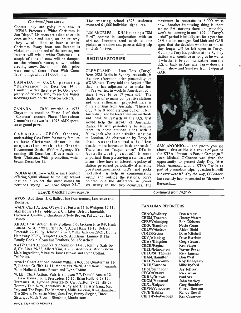# Continued from page 5

Contest they are going into now is "KFMB Presents a White Christmas in San Diego." Listeners are asked to call in San Diego. Listeners are asked to call in<br>once an hour and state, on the air, why<br>indice a listeners and early in one they would like to have a white Christmas. Every hour one listener is picked and at the end of the contest, one<br>listener will win a white Christmas – a couple of tons of snow will be dumped on the winner's house; snow machine creating snow. Second and third prize were one of these "Your Wish Come True" things with a \$1,000 limit.

Hamilton with a theatre party. Giving out plenty of tickets, also, to see the Junior Redwings take on the Moscow Selects.

CANADA-- CKY awarded a 1973 Chrysler to conclude Phase I of their "Superstar" contest. Phase II lasts about 2 months and awards a 1973 AMX sports car as grand prize.

CANADA -- CFGO, Ottawa, undertaking Casa Drive for needy families to have Christmas dinner in the conjunction with the Ontario Government Social Welfare Agency. It's running 'till December 10 as a leader to their "Christmas Wish" promotion, which begins December 15.

offering 5,000 albums to the high school petitions saying "We Love Super XL."

The winning school (625 students) managed 61,000 individual signatures.

LOS ANGELES -- KHJ is running a "Ski airline. Listeners send cards in...one picked at random and prize is skiing trip to Utah for two.

# BEDTIME STORIES

the new afternoon drive personality on<br>CANADA -- CKOC premiering WGAR here. Torvy told the Report office<br>"Deliverance" on December 14 in that he has adjustments to make but positions...mechanics, PD's and jocks<br>INDIANAPOLIS -- WXLW ran a contest included. A help in communicating CLEVELAND-- Jaan Torv (Torvy) from 2SM Radio in Sydney, Australia, is WGAR here. Torvy told the Report office that he has adjustments to make but "...I've wanted to work in American radio since I was 16 or 17 years old." The challenge of so many competitive stations and the enthusiasm projected here is quite a change from Australia. "There are only 7 or 8 good stations out of 116 in Australia," and he feels there are methods and ideas to research in the U.S. that would help the growth of Australian Radio. He will periodically be sending tapes to home stations along with a fellow jock who is on a similar sabatical in London. An observation by Torvy is that Australian radio is "less<br>plastic...more honest in basic approach." SAN ANTONIO-- The photo you see plastic...more honest in basic approach." There are no "super voice" DJ's in Australia...being yourself is more important than portraying a standard set image. They have an interesting policy of station personnel periodically alternating Nude America, with a KTSA T-shirt as positions...mechanics, PD's and jocks part of promotion trips...question is...will included. A help in communicating within and outside the stations. Torvy pointed out the difference in power availability in the two countires. The

maximum in Australia is 5,000 watts now. Another interesting thing is there are no FM stations there and probably won't be "coming in until 1974." Torvy's "trial" period is initially set for a year but 2SM station manager Rod Muir and GAR agree that the decision whether or not to stay longer will be left open to Torvy. Muir told Tory his position at the Sydney station will continue as long as he wants it whether it be communicating from the U.S. or back in Australia. Torvy does the 4-8pm show and Sundays from 1-4pm at GAR.



above this article is a result of part of the KTSA "Person to Person Campaign." Jock Michael O'Connor was given the opportunity to present Judy Day, Miss Nude America, with a KTSA T-shirt as she ever wear it?...(by the way, O'Connor has recently been promoted to Director of Research

| <b>BLACK MARKET</b> from page 18                                                                                                                                                                                                                                                                                                                                                                                                                                                                                                                                                                                                                                                                                                                                                                                                                                                                                                                                                                                                                                                                                                                    | Continued from page 21                                                                                                                                                                                                                                                                                                                                                                                                                                                                                                                                                                                                                                                                                                                                                                                                                    |  |  |
|-----------------------------------------------------------------------------------------------------------------------------------------------------------------------------------------------------------------------------------------------------------------------------------------------------------------------------------------------------------------------------------------------------------------------------------------------------------------------------------------------------------------------------------------------------------------------------------------------------------------------------------------------------------------------------------------------------------------------------------------------------------------------------------------------------------------------------------------------------------------------------------------------------------------------------------------------------------------------------------------------------------------------------------------------------------------------------------------------------------------------------------------------------|-------------------------------------------------------------------------------------------------------------------------------------------------------------------------------------------------------------------------------------------------------------------------------------------------------------------------------------------------------------------------------------------------------------------------------------------------------------------------------------------------------------------------------------------------------------------------------------------------------------------------------------------------------------------------------------------------------------------------------------------------------------------------------------------------------------------------------------------|--|--|
| WVON: Additions: J.R. Bailey, Joe Quarterman, Lawrence and<br>Rochelle.<br>WWIN: Chart Action: O'Jays 5-3, Futures 11-6, Whispers 17-11,<br>Mad House 21-12, Additions: Chi Lites, Detroit Emeralds,<br>Hudson & Landry, Inclinations, Clyde Brown, Pat Lundy, Lee<br>Dorsey.                                                                                                                                                                                                                                                                                                                                                                                                                                                                                                                                                                                                                                                                                                                                                                                                                                                                       | <b>CANADIAN REPORTERS</b><br>CHNO/Sudbury<br>Don Kredle<br><b>CHUM/Toronto</b><br><b>Jimmy Waters</b>                                                                                                                                                                                                                                                                                                                                                                                                                                                                                                                                                                                                                                                                                                                                     |  |  |
| KKDA: Chart Action: Isley Brothers 5-5, Jackson Five 8-8, Hank<br>Ballard 15-14, Jerry Butler 19-17, Albert King 18-18, Detroit<br>Emeralds 22-19, Syl Johnson 26-20, Millie Jackson 29-21, Donny<br>Hathaway 27-23, Temprees 33-25. Additions: Limmie & The<br>Family Cookin, Cornelius Brothers, Soul Searchers.<br>KATZ: Chart Action: Valerie Simpson 14-17, Johnny Nash 16-<br>8, Chi Lites 29-22, Albert King HB-32. Additions: Moon Glows,<br>Main Ingredient, Miracles, James Brown and Lynn Collins,<br>Delfonics.<br>WWRL: Chart Action: Johnny Williams 8-3, Joe Quarterman 11-<br>7, Johnnie Griffith 14-11, Montclairs 28-20, Additions: Cymanda<br>Brian Holland, James Brown and Lynn Collins.<br>WJLB: Chart Action: Valerie Simpson 7-7, Donald Austin 12-<br>Isaac Hayes 11-11, Persuaders 16-15, Brian Holland 28-17,<br>Tramanes 18, Tyronne Davis 22-19, Carl Carlton 27-22, HB-27,<br>Tommy Tate X-29, Additions: Ruby and The Party Gang, Mad<br>Day and The Pups, The Moments, Millie Jackson, King Hannibal,<br>The Silvers, Darnette Mims, Sam Dee, Bunny Siegler, Three<br>Sisters, J. Mack Brown, Rimshots, Manhattans. | <b>CFRW/Winnipeg</b><br><b>Bob Gibbons</b><br><b>CKOC/Hamilton</b><br><b>Nevin Grant</b><br><b>CKLW/Windsor</b><br>Alden Diehl<br>CJME/Regina<br>Dave Mitchell<br>CKY/Winnipeg<br>Dave Harrison<br><b>CKWS/Kingston</b><br><b>Greg Stewart</b><br><b>CKCK/Regina</b><br><b>Ken Singer</b><br><b>CHED/Edmonton</b><br>Wayne Beyant<br>CHLO/St. Thomas<br><b>Rick Janssen</b><br><b>CHAM/Hamilton</b><br>Don West<br><b>CKLG/Vancouver</b><br><b>Roy Hennessey</b><br><b>CKFH/Toronto</b><br>Mike Byford<br>CHSJ/Saint John<br><b>Jay Jeffrey</b><br>CFGO/Ottawa<br>Rick Allan<br>CKRA/Ottawa<br>Paul Ski<br><b>CKGM/Montreal</b><br>John Mackey<br><b>CKXL/Calgary</b><br><b>Greg Haraldson</b><br><b>CKVN/Vancouver</b><br><b>Cheryl Dawson</b><br><b>CJCH/Halifax</b><br>Randy Dewell<br><b>CKPT/Peterborough</b><br><b>Ken Cassovoy</b> |  |  |

PAGE 22 /RADIO REPORT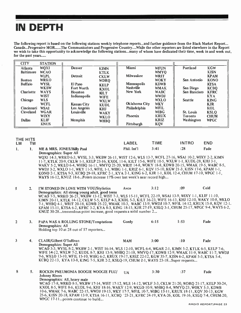# IN DEPTH

The following report is based on the following stations weekly telephone reports...and further guidance from the Black Market Report... Canada...Progressive MOR......The Communicators and Progressive Country....While the other reporters are listed elsewhere in the Report we wish to take this opportunity to acknowledge the following stations...many of whom have dedicated their time, week in and week out, for the past years.....

| <b>CITY</b>      | <b>STATION</b> |                    |             |                    |             |                |             |
|------------------|----------------|--------------------|-------------|--------------------|-------------|----------------|-------------|
| Atlanta          | <b>WQXI</b>    | Denver             | <b>KIMN</b> | Miami              | <b>WFUN</b> | Portland       | <b>KGW</b>  |
| <b>Baltimore</b> | <b>WCAO</b>    |                    | <b>KTLK</b> |                    | <b>WMYO</b> |                | <b>KISN</b> |
|                  | <b>WLPL</b>    | <b>Detroit</b>     | <b>CKLW</b> | Milwaukee          | WRIT        |                | <b>KPAM</b> |
| <b>Boston</b>    | <b>WRKO</b>    |                    | <b>WDRQ</b> |                    | <b>WOKY</b> | San Antonio    | <b>KONO</b> |
| <b>Buffalo</b>   | <b>WYSL</b>    | El Paso            | <b>KELP</b> | <b>Minneapolis</b> | <b>KDWB</b> |                | <b>KTSA</b> |
|                  | <b>WKBW</b>    | Fort Worth         | <b>KXOL</b> | <b>Nashville</b>   | <b>WMAK</b> | San Diego      | <b>KCBQ</b> |
| Charlotte        | <b>WAYS</b>    | Houston            | <b>KILT</b> | New York           | <b>WABC</b> | San Francisco  | <b>KFRC</b> |
|                  | <b>WIST</b>    | Indianapolis       | <b>WIFE</b> |                    | <b>WWDJ</b> |                | <b>KYA</b>  |
| Chicago          | <b>WLS</b>     |                    | <b>WXLW</b> |                    | <b>WXLO</b> | <b>Seattle</b> | <b>KING</b> |
|                  | <b>WCFL</b>    | <b>Kansas City</b> | <b>KUDL</b> | Oklahoma City      | <b>WKY</b>  |                | <b>KJR</b>  |
| Cincinnati       | <b>WSAI</b>    | Los Angeles        | <b>KHJ</b>  | Philadelphia       | <b>WFIL</b> |                | <b>KOL</b>  |
| Cleveland        | <b>WGAR</b>    | Louisville         | <b>WAKY</b> |                    | <b>WIBG</b> | St. Louis      | <b>KSLQ</b> |
|                  | <b>WIXY</b>    |                    | <b>WKLO</b> | Phoenix            | <b>KRUX</b> | <b>Toronto</b> | <b>CHUM</b> |
| <b>Dallas</b>    | <b>KLIF</b>    | <b>Memphis</b>     | <b>WHBQ</b> |                    | <b>KRIZ</b> | Washington     | <b>WPGC</b> |
|                  | <b>KNUS</b>    |                    |             | Pittsburgh         | <b>KQV</b>  |                |             |

# THE HITS

| LW. | ™ |                                                                                                       | LABEL       | TIME | <b>INTRO</b> | END. |
|-----|---|-------------------------------------------------------------------------------------------------------|-------------|------|--------------|------|
|     |   | ME & MRS. JONES/Billy Paul                                                                            | Phil. Int'l | 3:41 | :28          | Fade |
|     |   | Demographics: Super All                                                                               |             |      |              |      |
|     |   | WQX1 14-3, WRKO 6-3, WYSL 3-3, WKBW 26-11, WIST 12-6, WLS 13-7, WCFL 27-16, WSA1 10-2, WIXY 2-2, KIMN |             |      |              |      |

<sup>11</sup>-7, KTLK 20 -9, CKLW 1 -1, KELP 23 -16, KXOL 11 -6, KILT 15 -6, WIFE 10 -5, WXLW 1 -1, KUDL -28, KHJ 3 -1, WAKY 5-2, WKLO 6-4, WHBQ 16-11, WMYQ 25-20, WRIT 14-8, WOKY 18-8, KDWB 20-15, WMAK 19-5, WABC 8-5, WWDJ 3 -2, WXLO 1 -1, WKY 11 -5, WFIL 1 -1, WIBG 1 -1, KRIZ 6 -1, KQV 15 -10, KGW 21 -3, KISN 17-6, KPAM 1 -1, KONO 2 -1, KTSA 9 -3, KCBQ 29 -18, KFRC 2 -1, KYA 2 -1, KING 6 -2, KJR 1 -1, KOL 12-4, CHUM 17 -10, WPGC 1 -1, WAYS 16-12, KNUZ 18-6...Points increase 17% over last week's near record high...

5 2. I'M STONED IN LOVE WITH YOU/Stylistics Avco 3:12 :09 Cold Demographics: All strong young adult, good teens WCAO 7 -5, WRKO 26 -21, WKBW 13 -12, WIST 7 -3, WLS 15 -11, WCFL 22 -19, WSAI 13 -9, WIXY 1 -1, KLIF 11 -10, KIMN 20 -11, KTLK 14 -12, CKLW 5 -5, KELP 4-3, KXOL 5 -3, KILT 36 -23, WIFE 16 -13, KHJ 12 -10, WAKY 10 -8, WKLO 7 -1, WHBQ 4 -1, WRIT 20 -18, KDWB 25 -22, WMAK 10 -3, WABC 13 -9, WWDJ 10 -7, WFIL 14 -12, KRUX 15 -8, KQV 12 -1. KPAM 15-11, KTSA 6-2, KFRC 3-2, KYA 8-3, KING 18-15, KJR 27-19, KSLQ 3-1, CHUM 25-17, WPGC 9-4, WAYS 6-2, KNUZ 30-28...tremendous point increase, good requests a solid number 2...

| $\overline{2}$ |    | PAPA WAS A ROLLING STONE/Temptations<br>Demographics: All<br>Holding top 10 at 28 out of 57 reporters                                                                                                                                                                                                                                                                                                                                                                          | Gordy      | 6:15 | 1:53 | Fade |
|----------------|----|--------------------------------------------------------------------------------------------------------------------------------------------------------------------------------------------------------------------------------------------------------------------------------------------------------------------------------------------------------------------------------------------------------------------------------------------------------------------------------|------------|------|------|------|
| 3              |    | <b>CLAIR/Gilbert O'Sullivan</b><br>Demographics: Super All<br>WCAO 3-3, WYSL 8-2, WKBW 2-1, WIST 16-14, WLS 12-10, WCFL 6-4, WGAR 2-1, KIMN 5-2, KTLK 6-5, KELP 7-6,<br>WIFE 14-12, WXLW 7-2, KUDL 8-7, KHJ 13-9, WHBQ 21-18, WMYQ-17, KDWB 12-9, WMAK 11-9, WABC 11-7, WWDJ<br>9-6, WXLO 13-10, WFIL 15-10, WIBG 6-2, KRUX 19-17, KRIZ 22-12, KGW 35-7, KISN 6-2, KPAM 5-3, KTSA 5-4,<br>KCBQ 22-13, KYA 13-8, KING 7-5, KJR 2-2, KSLQ-19, CHUM 2-1, WAYS 23-18Super requests | <b>MAM</b> | 3:00 | :10  | Fade |
| 8              | 5. | ROCKIN PNEUMONIA BOOGIE WOOGIE FLU/<br><b>Johnny Rivers</b>                                                                                                                                                                                                                                                                                                                                                                                                                    | UA         | 3:30 | :37  | Fade |

Demographics: All, heavy male WCAO 17 -8, WRKO 8-5, WKBW 17 -14, WIST 17 -12, WLS 14 -12, WCLF 3 -3, CKLW 21 -20, WDRQ 21 -17, KELP 30 -24, KXOL 8-5, WIFE 8-6, KUDL 9-6, KHJ 18-16, WAKY 12-9, WKLO 10-9, WHBQ 8-4, WMYQ-23, WOKY 5-3, KDWB 10 -6, WMAK 7 -6, WABC 22 -15, WWDJ 19 -13, WKY 17 -7, WFIL 10 -7, WIBG 13-11, KRUX 18 -11, KQV 30 -13, KGW 25 -6, KISN 20 -18, KPAM 13 -9, KTSA 16 -11, KCBQ '23 -21, KFRC 24 -19, KYA -26, KOL 19 -16, KSLQ 7-4, CHUM -20, WPGC 17-11...points continue to build...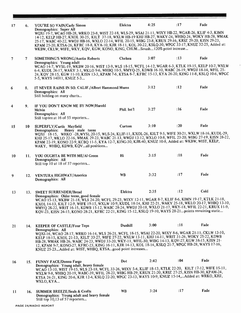| 17 | 6.  | YOU'RE SO VAIN/Carly Simon<br>Demographics: Super All<br>WQXI 19-7, WCAO HB-28, WRKO 23-8, WIST 22-18, WLS-29, WSAI 21-11, WIXY HB-22, WGAR-26, KLIF 4-3, KIMN                                                      | Elektra        | 4:25 | :17  | Fade |
|----|-----|---------------------------------------------------------------------------------------------------------------------------------------------------------------------------------------------------------------------|----------------|------|------|------|
|    |     | 14-12, KELP HB-27, KXOL 30-25, KILT 37-18, WXLW HB-19 KHJ HB-27, WAKY-24, WHBQ-24, WOKY HB-28, WMAK                                                                                                                 |                |      |      |      |
|    |     | 25-17, WABC 40-22, WWDJ HB-16, WXLO 22-14, WFIL 20-15, WIBG 23-8, KRUX 29-16, KRIZ 29-20, KISN 29-23,<br>KPAM 25-20, KTSA-26, KFRC 18-8, KYA-10, KJR 18-11, KOL 30-22, KSLQ-30, WPGC 33-17, KNUZ 32-25, Added at:   |                |      |      |      |
|    |     | WKBW, CKLW, WIFE, WKY, KQV, KGW, KONO, KING, CHUMSmash120% point increase                                                                                                                                           |                |      |      |      |
| 7  | 7.  | <b>SOMETHING'S WRONG/Austin Roberts</b>                                                                                                                                                                             | Chelsea        | 3:07 | :13  | Fade |
|    |     | Demographics: Young adult<br>WCAO 14-7, WYSL-19, WKBW 20-16, WIST 13-9, WLS 18-15, WCFL 14-12, WGAR 6-3, KTLK 19-15, KELP 10-7, WXLW                                                                                |                |      |      |      |
|    |     | 6-4, KUDL 26-17, WAKY 3-1, WKLO 9-6, WHBQ 10-5, WMYQ-25, KDWB 16-10, WABC 26-19, WWDJ 18-14, WFIL 25-<br>24, KQV 28-15, KGW 11-10, KISN 13-3, KPAM 7-6, KTSA 8-7, KFRC 15-13, KYA 26-20, KING 11-8, KSLQ 10-6, WPGC |                |      |      |      |
|    |     | 5-5, WAYS 14011, KNUZ 5-3                                                                                                                                                                                           |                |      |      |      |
| 6  | 8.  | IT NEVER RAINS IN SO. CALIF./Albert Hammond Mums                                                                                                                                                                    |                | 3:12 | :12  | Fade |
|    |     | Demographics: All<br>Still holding on many charts                                                                                                                                                                   |                |      |      |      |
|    |     | IF YOU DON'T KNOW ME BY NOW/Harold                                                                                                                                                                                  |                |      |      |      |
| 4  | 9.  | Melvin                                                                                                                                                                                                              | Phil. Int'l    | 3:27 | :16  | Fade |
|    |     | Demographics: All<br>Still topten at 16 of 55 reporters                                                                                                                                                             |                |      |      |      |
| 15 | 10  | SUPERFLY/Curtis Mayfield                                                                                                                                                                                            | Curtom         | 3:10 | : 20 | Fade |
|    |     | Heavy male teens<br>Demographics:<br>WQXI 18-15, WRKO -28, WYSL 20-15, WLS-24, KLIF-11, KXOL-26, KILT 9-5, WIFE 30-21, WXLW 18-16, KUDL-29,                                                                         |                |      |      |      |
|    |     | KHJ 25-17, WKLO 22-16, WMAK 29-23, WABC 21-13, WWDJ 13-12, WXLO 10-8, WFIL 23-20, WIBG 27-19, KISN 28-22,<br>KPAM 22-19, KONO 22-9, KCBQ 11-5, KYA 12-7, KING-30, KJR-40, KNUZ 10-8, Added at: WKBW, WIST, KELP,    |                |      |      |      |
|    |     | WAKY, WHBQ, KDWB, KQVall positions                                                                                                                                                                                  |                |      |      |      |
| 10 | 11. | YOU OUGHTA BE WITH ME/Al Green                                                                                                                                                                                      | Hi             | 3:15 | :18  | Fade |
|    |     | Demographics: All<br>Still top 10 at 18 of 57 reporters                                                                                                                                                             |                |      |      |      |
|    |     |                                                                                                                                                                                                                     |                |      |      |      |
| 9  | 12. | VENTURA HIGHWAY/America<br>Demographics: All                                                                                                                                                                        | <b>WB</b>      | 3:32 | :17  | Fade |
|    |     |                                                                                                                                                                                                                     |                |      |      |      |
| 13 |     | 13. SWEET SURRENDER/Bread                                                                                                                                                                                           | Elektra        | 2:35 | :12  | Cold |
|    |     | Demographics: Older teens, good female<br>WCAO 15-13, WKBW 21-18, WLS 24-20, WCFL 29-23, WIXY 12-11, WGAR 8-7, KLIF 8-6, KIMN 19-17, KTLK 21-18,                                                                    |                |      |      |      |
|    |     | KXOL 14-13, KILT 12-9, WIFE 19-15, WXLW 10-9, KUDL 18-14, KHJ 22-21, WAKY 25-18, WKLO 20-17, WHBQ 13-10,<br>WMYQ 26-22, WRIT 16-15, KDWB 15-12, WABC 28-24, WWDJ 20-18, WXLO 21-17, WKY-18, WFIL 22-21, KRUX 11-9,  |                |      |      |      |
|    |     | KQV-23, KISN 24-15, KONO 28-21, KFRC 22-21, KING 15-12, KSLQ 19-10, WAYS 28-21points remaining static                                                                                                               |                |      |      |      |
|    |     | 14. KEEPER OF CASTLE/Four Tops                                                                                                                                                                                      | <b>Dunhill</b> | 3:00 | :18  | Fade |
| 21 |     | Demographics: All<br>WQXI-16, WCAO 28-17, WRKO 16-14, WLS 26-21, WCFL 18-15, WSAI 22-20, WIXY 8-6, WGAR 21-11, CKLW 13-10,                                                                                          |                |      |      |      |
|    |     | KELP 18-15, KXOL 21-13, KILT 33-27, WIFE 27-22, WXLW 13-11, KHJ 14-11, WRIT 31-26, WOKY 25-22, KDWB                                                                                                                 |                |      |      |      |
|    |     | HB-28, WMAK HB-26, WABC 24-23, WWDJ 33-20, WKY-11, WFIL-30, WIBG 14-13, KQV-27, KGW 38-15, KISN 21-<br>12, KPAM 9-7, KONO-27, KFRC-23, KING 16-11, KJR 14-13, KOL 18-14, KSLQ 21-7, WPGC HB-28, WAYS 17-16,         |                |      |      |      |
|    |     | KNUZ 25-23Added at: WIST, WHBQ, KTSAgood point increases                                                                                                                                                            |                |      |      |      |
| 16 |     | 15. FUNNY FACE/Donna Fargo                                                                                                                                                                                          | Dot            | 2:42 | :04  | Fade |
|    |     | Demographics: Young adult, heavy female<br>WCAO 13-10, WIST 19-15, WLS 23-18, WCFL 33-26, WIXY 5-4, KLIF 18-13, KTLK 22-20, KILT 17-12, WIFE 15-11,                                                                 |                |      |      |      |
|    |     | WXLW 9-8, WHBQ 20-19, WABC-39, WFIL 28-23, WIBG HB-29, KRUX 21-20, KRIZ 27-25, KISN HB-30, KPAM-24,<br>KTSA 24-21, KING 20-6, KJR 12-4, KSLQ 22-20, WPGC 23-13, WAYS 10-9, KNUZ 15-14,Added at: WRKO, KHJ,          |                |      |      |      |
|    |     | WXLO, KYA                                                                                                                                                                                                           |                |      |      |      |
| 11 | 16. | <b>SUMMER BREEZE/Seals &amp; Crofts</b>                                                                                                                                                                             | <b>WB</b>      | 3:24 | :17  | Fade |
|    |     | Demographics: Young adult and heavy female<br>Still top 10,13 of 57 reporters                                                                                                                                       |                |      |      |      |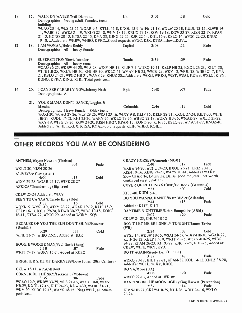| 18 | 17.        | WALK ON WATER/Neil Diamond<br>Demographics: Young adult, females, teens<br>building                                                                                                                                                                                                                                                                                                                                                                                          | Uni      | 3:05 | :18 | Cold |
|----|------------|------------------------------------------------------------------------------------------------------------------------------------------------------------------------------------------------------------------------------------------------------------------------------------------------------------------------------------------------------------------------------------------------------------------------------------------------------------------------------|----------|------|-----|------|
|    |            | WCAO 20-14, WLS 25-22, WGAR 9-5, KTLK 11-8, KXOL 13-9, WIFE 21-18, WXLW 20-18, KUDL 23-15, KDWB 14-<br>11, WABC-37, WWDJ 31-19, WXLO 23-18, WKY 18-15, KRUX 27-18, KQV 19-18, KGW 33-27, KISN 22-17, KPAM<br>21-13, KONO 20-13, KTSA 22-15, KYA-23, KING 27-22, KJR 22-14, KOL 16-9, KSLQ-14, WPGC 22-20, KNUZ<br>19-18, Added at: WKBW, WHBQ, KFRCGood requests WPGC, KJR, KTSAslowKQV                                                                                      |          |      |     |      |
| 12 | 18.        | I AM WOMAN/Helen Reddy<br>Demographics: All - heavy female                                                                                                                                                                                                                                                                                                                                                                                                                   | Capitol  | 3:08 | :11 | Fade |
|    |            | 19. SUPERSTITION/Stevie Wonder<br>Demographics: All - heavy teens<br>WCAO 36-25, WKBW 44-30, WLS-28, WIXY HB-15, KLIF 7-1, WDRQ 19-11, KELP HB-25, KXOL 26-23, KILT-30,<br>WIFE HB-25, WXLW HB-20, KHJ HB-30, WKLO-21, WMAK HB-25, WWDJ-29, WKY-12, WFIL-28, WIBG 21-7, KYA-<br>21, KSLQ 24-21, WPGC HB-31, WAYS-29, KNUZ-38Added at: WQXI, WRKO, WIST, WSAI, KDWB, WXLO, KISN,<br>KONO, KFRC, KING, KJRTotal positives                                                      | Tamla    | 3:59 | :29 | Fade |
| 14 | <b>20.</b> | I CAN SEE CLEARLY NOW/Johnny Nash<br>Demographics: All                                                                                                                                                                                                                                                                                                                                                                                                                       | Epic     | 2:48 | :07 | Fade |
|    |            | 21. YOUR MAMA DON'T DANCE/Loggins &<br>Messina<br>Demographics: Heavy female - Older teens<br>WQXI-20, WCAO 27-26, WLS 29-26, WSAI 23-16, WIXY 9-8, KLIF-15, KELP 28-21, KXOL 27-24, KILT-33, WIFE<br>HB-29, KUDL 17-12, KHJ 23-20, WAKY-26, WKLO 29-26, WHBQ 22-17, WOKY HB-26, WMAK-27, WXLO 25-22,<br>WKY-19, WIBG 29-26, KGW 24-20, KISN HB-27, KPAM-15, KONO-20, KJR-35, KSLQ-28, WPGC31-22, KNUZ-40,<br>Added at: WFIL, KRUX, KTSA, KYAtop 5 requests KLIF, WHBQ, KOIL | Columbia | 2:46 | :13 | Cold |

# OTHER RECORDS YOU MAY BE CONSIDERING

| <b>ANTHEM/Wayne Newton (Chelsea)</b>                       | C                       |
|------------------------------------------------------------|-------------------------|
| Fade<br>:06<br>2:52                                        |                         |
| WKLO-30, KISN 30-26                                        | W                       |
| <b>ALIVE/Bee Gees (Atco)</b>                               | K                       |
| Cold<br>:15<br>4:00                                        | S                       |
| WIXY 29-28, WGAR 24-17, WIFE 28-27                         | <b>C</b>                |
|                                                            | C                       |
| <b>AFRICA/Thundermug (Big Tree)</b>                        |                         |
| CKLW 25-24 Added at: WIXY                                  | K                       |
| <b>BEEN TO CANAAN/Carole King (Ode)</b>                    | D                       |
| 3:37<br>Cold<br>:16                                        |                         |
| WQXI-19, WYSL-10, WIXY 28-27, WGAR 19-12, KLIF 15-9,       | Α                       |
| KELP 16-13, KILT 29-24, KDWB 30-27, WIBG 19-18, KONO       | D                       |
| 16-11, KTSA-27, WPGC-29. Added at WOKY, KQV                |                         |
|                                                            | C                       |
| BECAUSE OF YOU THE SUN DON'T SHINE/Kracker                 | D                       |
| (Dunhill)                                                  | $\mathcal{O}$           |
|                                                            |                         |
|                                                            |                         |
| Cold<br>3:29<br>:11                                        |                         |
| WFIL 21-19, WIBG 22-21, Added at: KJR                      | N                       |
|                                                            | K                       |
| <b>BOOGIE WOOGIE MAN/Paul Davis (Bang)</b>                 | $\overline{c}$          |
| 2:18<br>Fade<br>:07                                        | $\overline{\mathbf{C}}$ |
| WRIT 19-17, WOKY 15-7, Added at KCBQ                       | D                       |
|                                                            |                         |
| <b>BRIGHTER SIDE OF DARKNESS/Love Jones (20th Century)</b> | N                       |
|                                                            | A                       |
| CKLW 15-11, WPGC-HB-40                                     | D                       |
| <b>CORNER OF THE SKY/Jackson 5 (Motown)</b>                |                         |
| 3:35<br>: 06<br>Fade                                       | ٧                       |
| WCAO 12-9, WKBW 33-29, WLS 21-16, WCFL 10-8, WIXY          | E                       |
| HB-29, KXOL 17-16, KHJ 24-23, KDWB-30, WABC 31-21,         |                         |
| WKY-20, KFRC 19-15, WAYS 18-15 Negs WFIL, all others       | K                       |
| positives                                                  | 2                       |

CRAZY HORSES/Osmonds (MGM)<br>2:40 :17 2:40 :17 Fade WKBW 24 -20, WCFL 24 -20, KXOL 25 -21, KRIZ 20 -11, KISN 19-16, KING 24-23, WAYS 20-14, Added at WAKY... Slow Charlotte, Louisville, Dallas, good requests Fort Worth, continued erratic pattern... COVER OF ROLLING STONE/Dr. Hook (Columbia)<br>2:53 :00 Cold 2:53 :00 Cold KILT -40, KUDL 5-4... DO YOU WANNA DANCE/Bette Midler (Atlantic)<br>2:44 :15 Fade 2:44 :15 Fade Added at KLIF, KILT... DAYTIME NIGHTTIME/Keith Hampshire (A&M)<br>3:07 :20 Fade 3:07 :20 Fade CKLW 24-23, CHUM 18-12 DON'T LET ME BE LONELY TONIGHT/James Taylor (WB)  $2:34$   $:03$  Cold WYSL -14, WKBW 18 -15, WSAI 24 -17, WIXY- HB -30, WGAR -22, KLIF 26-12, KELP 17-10, WRIT 29-25, WOKY-HB-25, WIBG 24-22, KPAM 26-23, KFRC-22, KJR 32-28, KOL-25, Added at: CKLW, WIFE, WKY, KYA... DO IT AGAIN/Steely Dan (Dunhill)<br> $3:57$ :42  $3:57$  :42 Fade WRKO 20-17, KILT 27-21, KPAM-22, KOL 14-12, KNUZ 38-20, Added'at WCFL, WIXY, KXOL... DO YA/Move (UA)<br>4:03 4:03 :20 Fade WRKO 22-13, Added at: WKBW... DANCING IN THE MOONLIGHT/King Harvest (Perception)<br>2:57 :14 Fade 2:57 :14 Fade KIMN-HB-27, CKLW-HB-25, KHJ-28, WRIT 34-16, WXLO 26 -24...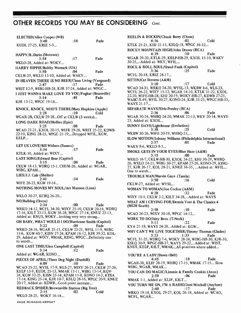# OTHER RECORDS YOU MAY BE CONSIDERING Cont.

ELECTED/Alice Cooper (WB)<br>3:40 3:40 :18 Fade KUDL 27-25, KRIZ 5-3... HAPPY/B..Darin (Motown)<br> $3:54$ 3:54 :17 Fade WKLO-28, Added at: WOKY... HARRY HIPPIE/Bobby Womack (UA)<br>04: 3:50 :04 Fade CKLW -29, WKLO 13 -10, Added at: WAKY... IN HEAVEN THERE IS NO BEER/Clean Living (Vanguard)<br>2:47 [17] Fade 2:47 :17 Fade WRIT 12-9, WIBG-HB-28, KJR 37-24, Added at: WPGC... I JUST WANNA MAKE LOVE TO YOU/Foghat (Bearsville)<br>3:14<br>Fade 3:14 :48 Fade KJR 13-12, WPGC 19-18... KNOCK, KNOCK, WHO'S THERE/Mary Hopkins (Apple)  $2:28$  :10 Cold WGAR-28; CKLW 29-28...Off at CKLW (3 weeks)... LONG DARK ROAD/Hollies (Epic)<br>3:25 :08 3:25 :08 Fade WCAO 23 -21, KXOL 20 -15, WIFE 29 -26, WRIT 25 -22, KDWB-22-19, KING 28-25, WPGC 21-19,...Dropped WFIL, KGW, KELP... LET US LOVE/Bill Withers (Sussex)<br> $3:34$  :17 3:34 :17 Fade KTLK -30, Added at: WIXY... LAST SONG/Edward Bear (Capitol) 3:15 :08 Fade CKLW 18 -13, WDRQ 15 -1, CHUM -26, Added at: WGAR, WIBG, KPAM... LIES/J.J. Cale (Shelter) 2:41 :34 Fade WIFE 26-23, KGW 19-14... NOTHING MOVES MY SOUL /Art Munson (Lion) WKLO 30-27, KCBQ 26-20...  $NO/Bulldog (Deca)$ <br>2:34 2:34 :00 Fade WRKO 14-12, WCFL 34-30, WIXY 25-10, CKLW 20-16, WDRO 17 -16, KILT 23 -13, KGW 36 -28, WPGC 27 -14, KNUZ 23 -13, Added at: KNUS, WOKY...looking very very strong... OH BABY, WHAT WOULD I DO/Hurricane Smith (Capitol) 3:22 :09 Fade WRKO 28 -16, WGAR 25 -15, CKLW 23 -21, WFIL 11 -9, WIBG 11 -6, KGW 40 -7, KISN 27 -24, KPAM 16 -12, KJR 39 -32, KOL-29, Added at: WIXY, WMAK, KING, WPGC...Definitely one to watch... ONE LAST TIME /Glen Campbell (Capitol) 3:14 :12 Fade Added at: WGAR, KONO PIECES OF APRIL/Three Dog Night (Dunhill)<br>(10) 10: 4:09 :10 Fade WCAO 25 -22, WYSL 17 -9, WLS -27, WIXY 26 -21, CKLW 27 -26, KELP 13-9, KUDL 25-13, WMAK 15-11, WIBG 15-14, KOV-24, KGW 32 -25, KISN 23 -14, KPAM 11 -8, KONO 14 -3, KTSA 17 -14, KING 25 -14, KJR 10 -7, KSLQ 28 -16, WPGC 20 -9, KNUZ 20 -17, Added at: KDWB...Good point increase... REDBACK SPIDER/Brownsville Station (Big Tree)<br>2:15 :02 Cold WKLO 28-25, WOKY 16-14...

REELIN & ROCKIN/Chuck Berry (Chess)<br>4:16 :02 4:16 :02 Cold KTLK 25-21, KHJ 21-15, KSLQ-18, WPGC 36-32... ROCKY MOUNTAIN HIGH/John Denver (RCA)<br>4:39 :10 Fade 4:39 :10 Fade WGAR 29 -20, KTLK -29, KELP- HB -29, KXOL 15 -10, WAKY 30-25,...Added at: WKY, WFIL... ROCK & ROLL SOUL/Gand Funk (Capitol)<br>3:36 :25 Fade 3:36 :25 Fade WCFL 20-18, KRIZ 28-17... SITTIN /Cat Stevens (A&M) 3:10 :17 Cold WCAO 34 -31, WRKO 24 -20, WYSL -13, WKBW 8 -6, WLS -23, WCFL 26 -22, WIXY 15 -12, WGAR 14 -10, KTLK 31 -22, KXOL 22-20, WIFE-HB-28, KHJ 20-19, WOKY-HB-27, KDWB 27-25 WABC-X-49, WFIL 30-27, KONO-24, KJR 33-23, WPGC-HB-33, WAYS 21-17... SEPARATE WAYS/Elvis Presley (RCA)<br>2:36 :06 2:36 :06 Fade WGAR 30 -24, WHBQ 24 -20, WMAK 22 -13, WKY 20 -14, WAYS - 23, Added at: KXOL... SUNNY DAYS/Lighthouse (Evolution)<br>3:38: 3:38 :25 Cold WKBW 30-26, WIFE 20-19, WHBO-25,... SLOW MOTION/Johnny Williams (Philadelphia International)<br>2:57 :01 Fade 2:57 :01 Fade WAKY 8-6, WKLO 8-5... SMOKE GETS IN YOUR EYES/Blue Haze (A&M)<br>3:15 :00 Fade 3:15 :00 Fade WRKO 16-7, CKLW-HB-30, KXOL 24-22, KHJ 30-29, WHBQ-26, WXLO 24-21, WIBG 30-27, KPAM 27-26, KONO-29, KING-27, KJR 26-17, KOL 28-21, KNUZ 36-35, ...Added at: WFIL... One to watch... TROUBLE MAN/Marvin Gaye (Tamla) 3:50 :16 Cold CKLW-27, Added at: WYSL... WOMAN TO WOMAN/Joe Cocker (A&M)<br>4:28<br>:32 4:28 :32 Fade WIXY 10-5, CKLW 2-2, KILT 34-28,...Added at: WAYS WHAT AM I CRYING FOR/Dennis Yost & The Classics 4  $(MGM$  South)<br>2:58 2:58 :10 Fade WCAO 26-23, WIXY 30-18, WPGC 14-12... WORK TO DO/Isley Bros.  $(T\text{-}Neck)$ <br>3:11  $:22$ 3:11 :22 Fade KYA 21-18, WAYS 24-20...Added at: KGW... WHY CAN'T WE LIVE TOGETHER/Timmy Thomas (Glades) 3:23 1:33 Fade WCFL 31 -25, WDRQ 7-4, WOKY 28 -24, WIBG- HB -30, KJR -30, KSLQ 30-9, WPGC-HB-37, WAYS 29-22,...Added at: WIST, KNUS, KELP, KILT, WMAK...AII positives where added... YOU'RE A LADY/Dawn (Bell)<br>4:45 :18 4:45 :18 Fade WGAR-30, KLIF 28-19, WHBQ 17-15, WMAK 17-15... Slow WIBG, WGAR, WMAK... YOU CAN DO MAGIC/Limmie & Family Cookin (Avco)<br>2:50 :06 Fade 2:50 :06 Fade WMAK 1-1, Added at: KLIF, KILT... YOU TURN ME ON, I'M A RADIO/Joni Mitchell (Asylum) 2:40 :17 Fade WRKO 19 -18, KXOL 29 -27, KOL 26 -18, Added at: WCAO, WCFL, WGAR...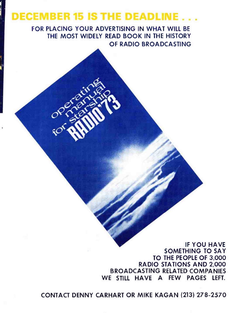# **DECEMBER 15 IS THE DEADLINE**

FOR PLACING YOUR ADVERTISING IN WHAT WILL BE THE MOST WIDELY READ BOOK IN THE HISTORY OF RADIO BROADCASTING

> IF YOU HAVE SOMETHING TO SAY TO THE PEOPLE OF 3,000 RADIO STATIONS AND 2,000 BROADCASTING RELATED COMPANIES WE STILL HAVE A FEW PAGES LEFT.

CONTACT DENNY CARHART OR MIKE KAGAN (213) 278 -2570